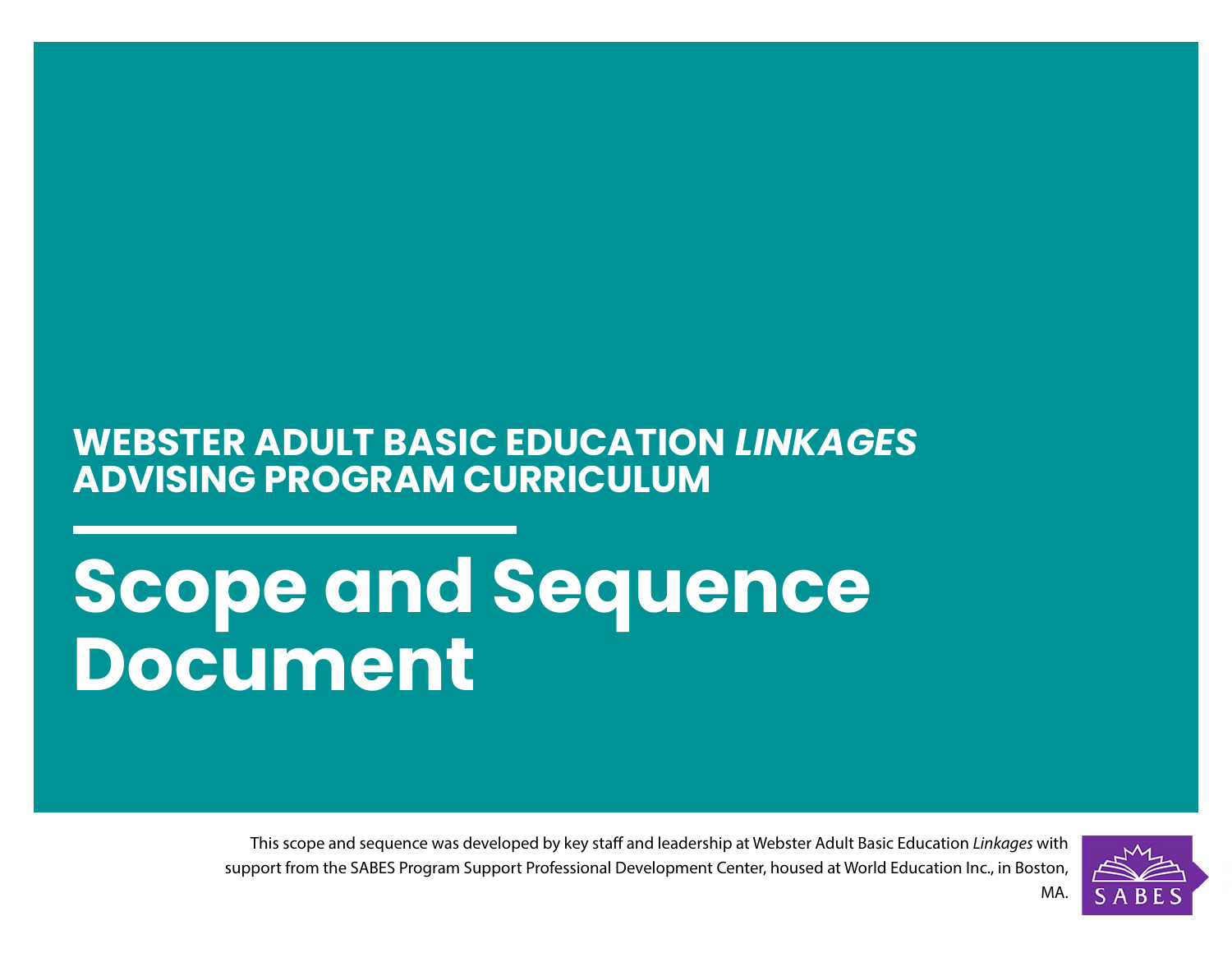# **WEBSTER ADULT BASIC EDUCATION** *LINKAGES*  **ADVISING PROGRAM CURRICULUM**

# **Scope and Sequence Document**

This scope and sequence was developed by key staff and leadership at Webster Adult Basic Education *Linkages* with support from the SABES Program Support Professional Development Center, housed at World Education Inc., in Boston,

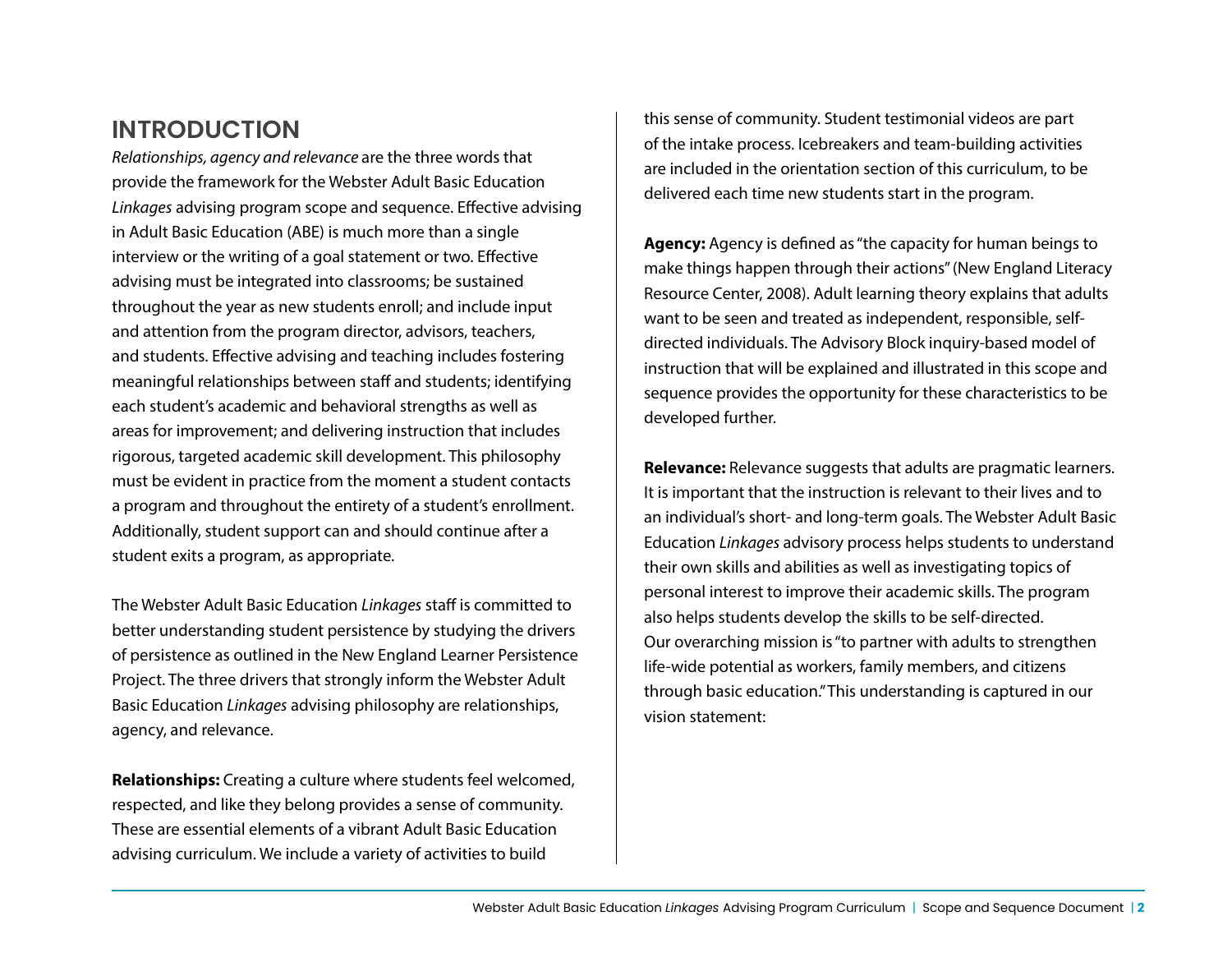### **INTRODUCTION**

*Relationships, agency and relevance* are the three words that provide the framework for the Webster Adult Basic Education *Linkages* advising program scope and sequence. Effective advising in Adult Basic Education (ABE) is much more than a single interview or the writing of a goal statement or two. Effective advising must be integrated into classrooms; be sustained throughout the year as new students enroll; and include input and attention from the program director, advisors, teachers, and students. Effective advising and teaching includes fostering meaningful relationships between staff and students; identifying each student's academic and behavioral strengths as well as areas for improvement; and delivering instruction that includes rigorous, targeted academic skill development. This philosophy must be evident in practice from the moment a student contacts a program and throughout the entirety of a student's enrollment. Additionally, student support can and should continue after a student exits a program, as appropriate.

The Webster Adult Basic Education *Linkages* staff is committed to better understanding student persistence by studying the drivers of persistence as outlined in the New England Learner Persistence Project. The three drivers that strongly inform the Webster Adult Basic Education *Linkages* advising philosophy are relationships, agency, and relevance.

**Relationships:** Creating a culture where students feel welcomed, respected, and like they belong provides a sense of community. These are essential elements of a vibrant Adult Basic Education advising curriculum. We include a variety of activities to build

this sense of community. Student testimonial videos are part of the intake process. Icebreakers and team-building activities are included in the orientation section of this curriculum, to be delivered each time new students start in the program.

**Agency:** Agency is defined as "the capacity for human beings to make things happen through their actions" (New England Literacy Resource Center, 2008). Adult learning theory explains that adults want to be seen and treated as independent, responsible, selfdirected individuals. The Advisory Block inquiry-based model of instruction that will be explained and illustrated in this scope and sequence provides the opportunity for these characteristics to be developed further.

**Relevance:** Relevance suggests that adults are pragmatic learners. It is important that the instruction is relevant to their lives and to an individual's short- and long-term goals. The Webster Adult Basic Education *Linkages* advisory process helps students to understand their own skills and abilities as well as investigating topics of personal interest to improve their academic skills. The program also helps students develop the skills to be self-directed. Our overarching mission is "to partner with adults to strengthen life-wide potential as workers, family members, and citizens through basic education." This understanding is captured in our vision statement: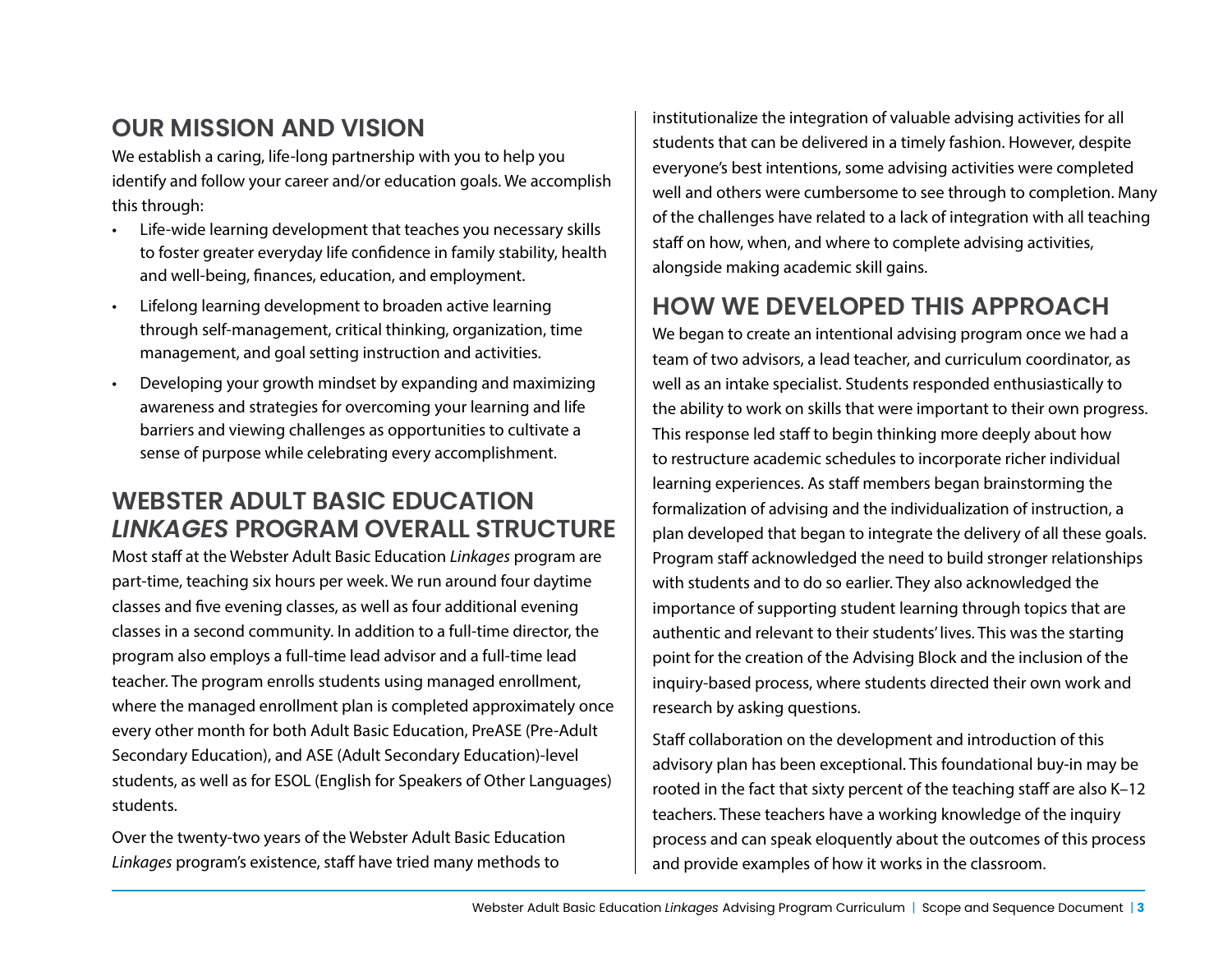# **OUR MISSION AND VISION**

We establish a caring, life-long partnership with you to help you identify and follow your career and/or education goals. We accomplish this through:

- Life-wide learning development that teaches you necessary skills to foster greater everyday life confidence in family stability, health and well-being, finances, education, and employment.
- Lifelong learning development to broaden active learning through self-management, critical thinking, organization, time management, and goal setting instruction and activities.
- Developing your growth mindset by expanding and maximizing awareness and strategies for overcoming your learning and life barriers and viewing challenges as opportunities to cultivate a sense of purpose while celebrating every accomplishment.

## **WEBSTER ADULT BASIC EDUCATION** *LINKAGES* **PROGRAM OVERALL STRUCTURE**

Most staff at the Webster Adult Basic Education *Linkages* program are part-time, teaching six hours per week. We run around four daytime classes and five evening classes, as well as four additional evening classes in a second community. In addition to a full-time director, the program also employs a full-time lead advisor and a full-time lead teacher. The program enrolls students using managed enrollment, where the managed enrollment plan is completed approximately once every other month for both Adult Basic Education, PreASE (Pre-Adult Secondary Education), and ASE (Adult Secondary Education)-level students, as well as for ESOL (English for Speakers of Other Languages) students.

Over the twenty-two years of the Webster Adult Basic Education *Linkages* program's existence, staff have tried many methods to

institutionalize the integration of valuable advising activities for all students that can be delivered in a timely fashion. However, despite everyone's best intentions, some advising activities were completed well and others were cumbersome to see through to completion. Many of the challenges have related to a lack of integration with all teaching staff on how, when, and where to complete advising activities, alongside making academic skill gains.

## **HOW WE DEVELOPED THIS APPROACH**

We began to create an intentional advising program once we had a team of two advisors, a lead teacher, and curriculum coordinator, as well as an intake specialist. Students responded enthusiastically to the ability to work on skills that were important to their own progress. This response led staff to begin thinking more deeply about how to restructure academic schedules to incorporate richer individual learning experiences. As staff members began brainstorming the formalization of advising and the individualization of instruction, a plan developed that began to integrate the delivery of all these goals. Program staff acknowledged the need to build stronger relationships with students and to do so earlier. They also acknowledged the importance of supporting student learning through topics that are authentic and relevant to their students' lives. This was the starting point for the creation of the Advising Block and the inclusion of the inquiry-based process, where students directed their own work and research by asking questions.

Staff collaboration on the development and introduction of this advisory plan has been exceptional. This foundational buy-in may be rooted in the fact that sixty percent of the teaching staff are also K–12 teachers. These teachers have a working knowledge of the inquiry process and can speak eloquently about the outcomes of this process and provide examples of how it works in the classroom.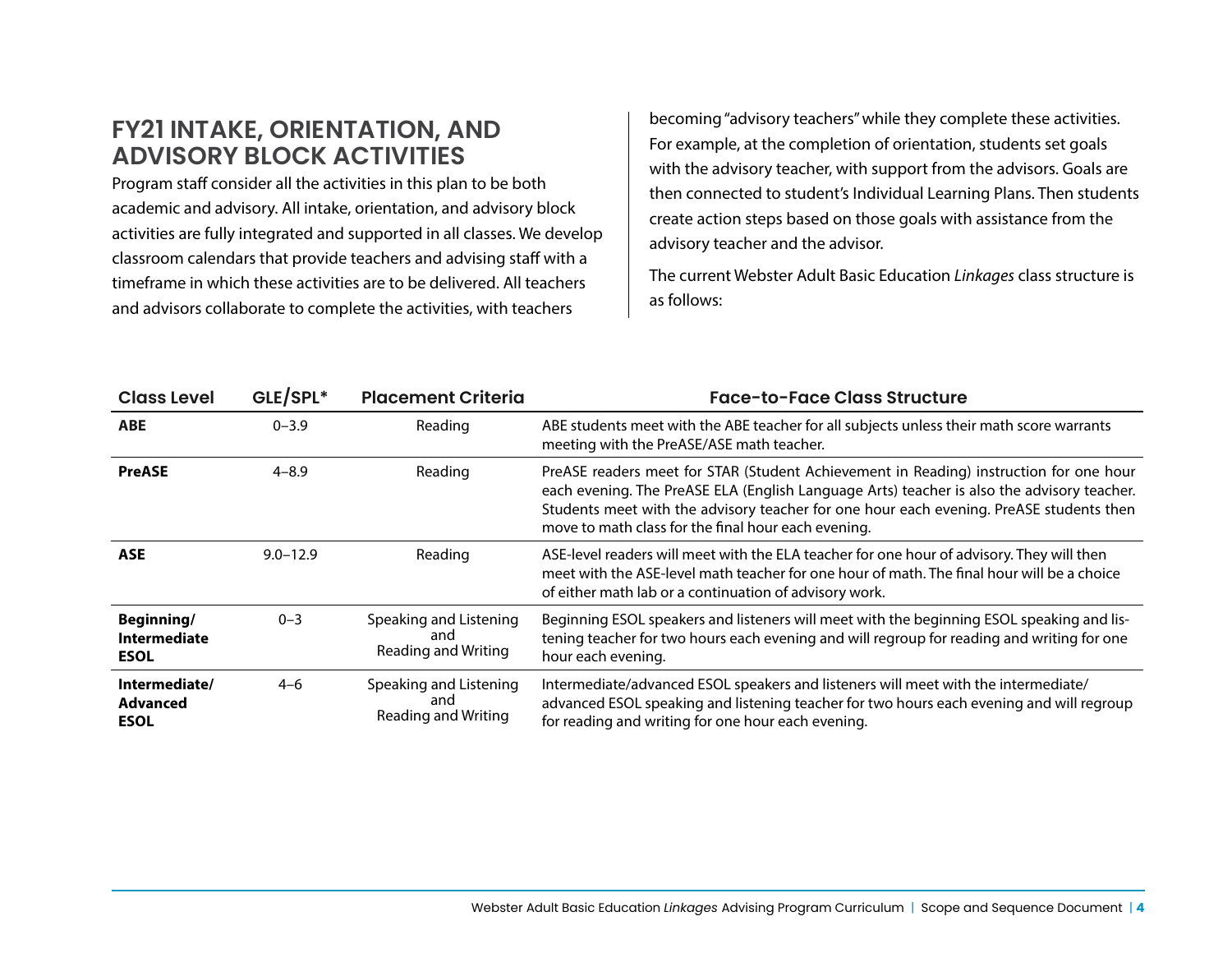### **FY21 INTAKE, ORIENTATION, AND ADVISORY BLOCK ACTIVITIES**

Program staff consider all the activities in this plan to be both academic and advisory. All intake, orientation, and advisory block activities are fully integrated and supported in all classes. We develop classroom calendars that provide teachers and advising staff with a timeframe in which these activities are to be delivered. All teachers and advisors collaborate to complete the activities, with teachers

becoming "advisory teachers" while they complete these activities. For example, at the completion of orientation, students set goals with the advisory teacher, with support from the advisors. Goals are then connected to student's Individual Learning Plans. Then students create action steps based on those goals with assistance from the advisory teacher and the advisor.

The current Webster Adult Basic Education *Linkages* class structure is as follows:

| <b>Class Level</b>                               | GLE/SPL*     | <b>Placement Criteria</b>                                   | <b>Face-to-Face Class Structure</b>                                                                                                                                                                                                                                                                                                    |
|--------------------------------------------------|--------------|-------------------------------------------------------------|----------------------------------------------------------------------------------------------------------------------------------------------------------------------------------------------------------------------------------------------------------------------------------------------------------------------------------------|
| <b>ABE</b>                                       | $0 - 3.9$    | Reading                                                     | ABE students meet with the ABE teacher for all subjects unless their math score warrants<br>meeting with the PreASE/ASE math teacher.                                                                                                                                                                                                  |
| <b>PreASE</b>                                    | $4 - 8.9$    | Reading                                                     | PreASE readers meet for STAR (Student Achievement in Reading) instruction for one hour<br>each evening. The PreASE ELA (English Language Arts) teacher is also the advisory teacher.<br>Students meet with the advisory teacher for one hour each evening. PreASE students then<br>move to math class for the final hour each evening. |
| <b>ASE</b>                                       | $9.0 - 12.9$ | Reading                                                     | ASE-level readers will meet with the ELA teacher for one hour of advisory. They will then<br>meet with the ASE-level math teacher for one hour of math. The final hour will be a choice<br>of either math lab or a continuation of advisory work.                                                                                      |
| Beginning/<br><b>Intermediate</b><br><b>ESOL</b> | $0 - 3$      | Speaking and Listening<br>and<br><b>Reading and Writing</b> | Beginning ESOL speakers and listeners will meet with the beginning ESOL speaking and lis-<br>tening teacher for two hours each evening and will regroup for reading and writing for one<br>hour each evening.                                                                                                                          |
| Intermediate/<br><b>Advanced</b><br><b>ESOL</b>  | $4 - 6$      | Speaking and Listening<br>and<br>Reading and Writing        | Intermediate/advanced ESOL speakers and listeners will meet with the intermediate/<br>advanced ESOL speaking and listening teacher for two hours each evening and will regroup<br>for reading and writing for one hour each evening.                                                                                                   |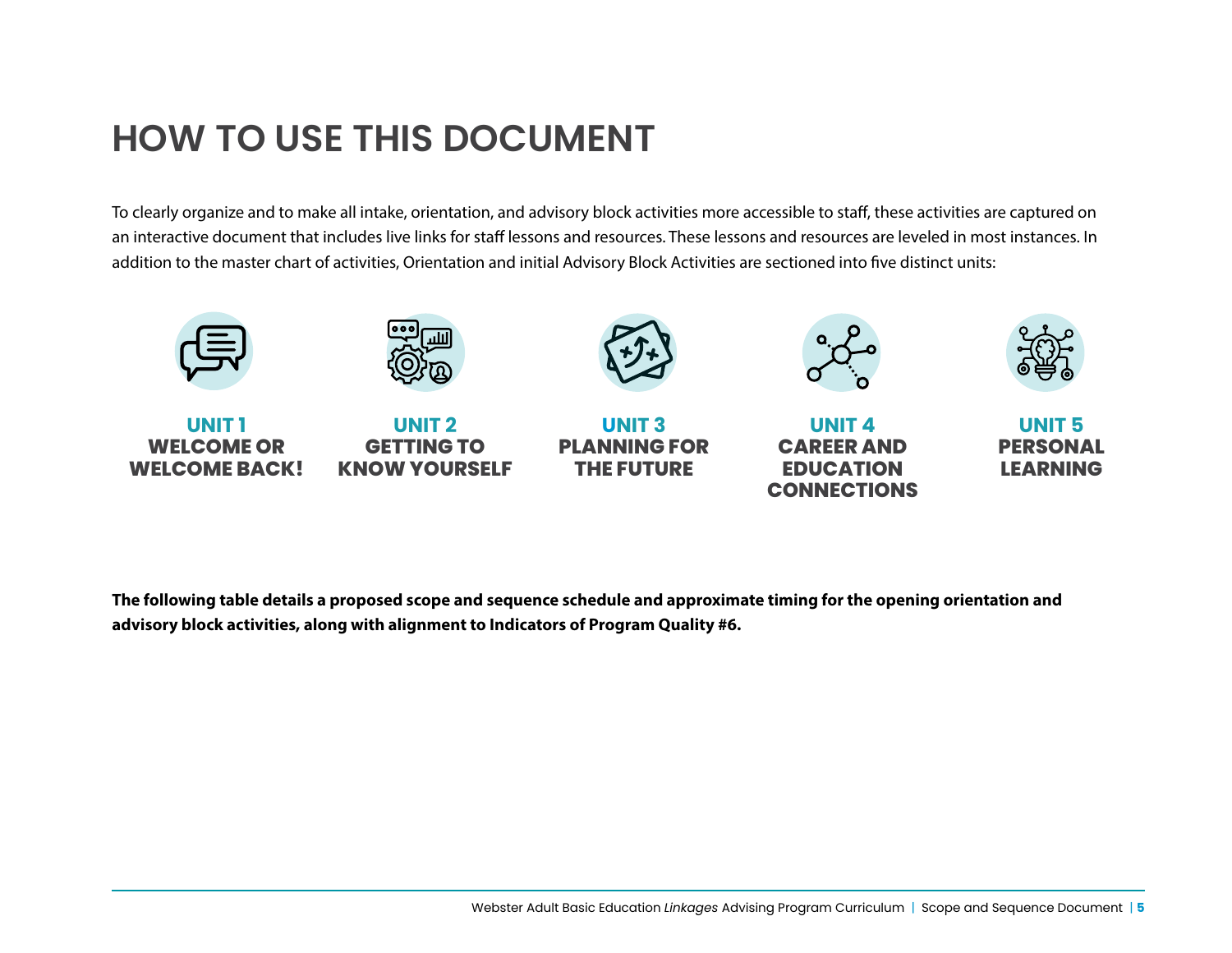# **HOW TO USE THIS DOCUMENT**

**KNOW YOURSELF**

**WELCOME BACK!**

To clearly organize and to make all intake, orientation, and advisory block activities more accessible to staff, these activities are captured on an interactive document that includes live links for staff lessons and resources. These lessons and resources are leveled in most instances. In addition to the master chart of activities, Orientation and initial Advisory Block Activities are sectioned into five distinct units:



**THE FUTURE**

**The following table details a proposed scope and sequence schedule and approximate timing for the opening orientation and advisory block activities, along with alignment to Indicators of Program Quality #6.**

**EDUCATION CONNECTIONS** **LEARNING**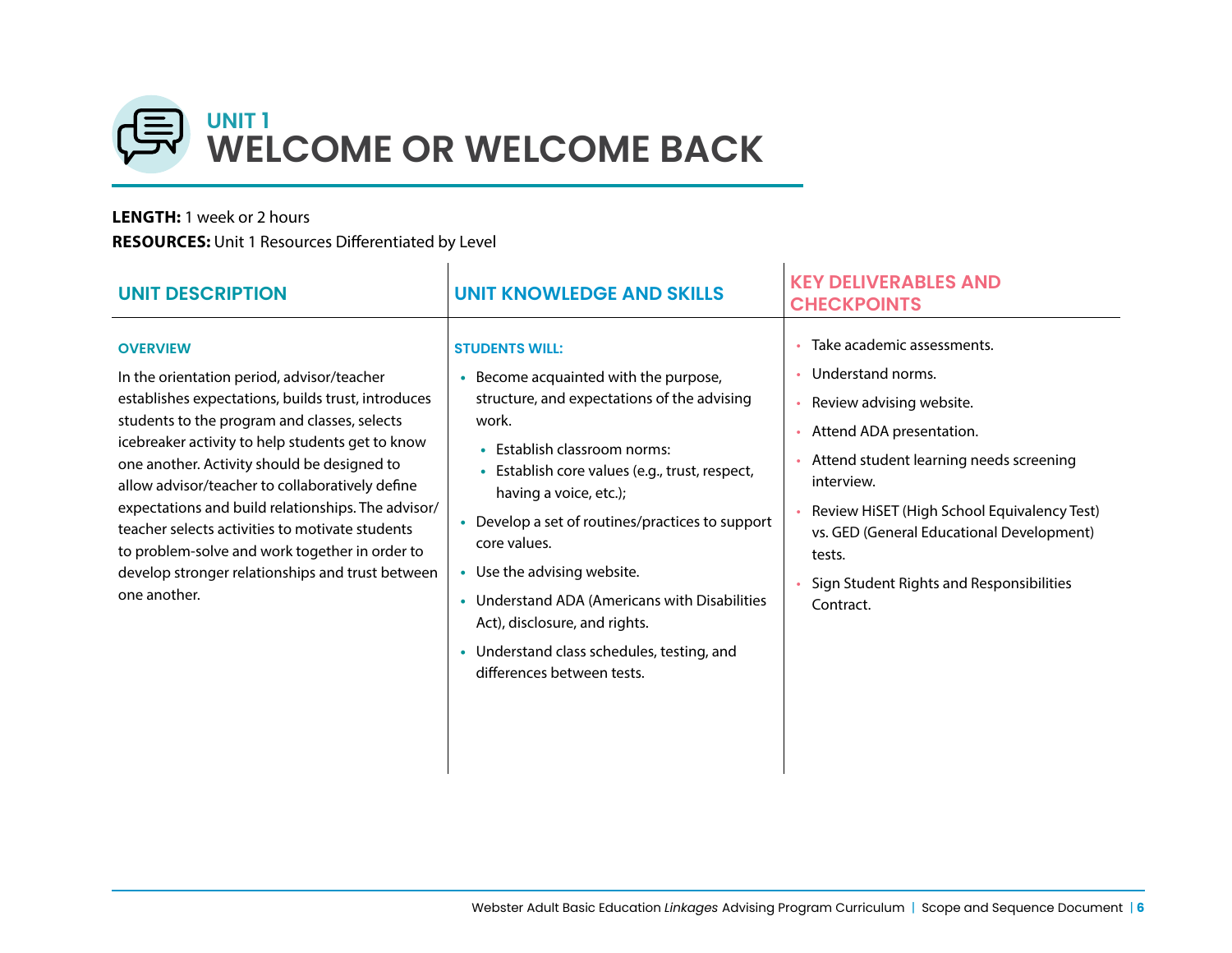

#### **LENGTH:** 1 week or 2 hours

**RESOURCES:** Unit 1 Resources Differentiated by Level

| <b>UNIT DESCRIPTION</b>                                                                                                                                                                                                                                                                                                                                                                                                                                                                                                                                  | <b>UNIT KNOWLEDGE AND SKILLS</b>                                                                                                                                                                                                                                                                                                                                                                                                                                                                                      | <b>KEY DELIVERABLES AND</b><br><b>CHECKPOINTS</b>                                                                                                                                                                                                                                                                                   |
|----------------------------------------------------------------------------------------------------------------------------------------------------------------------------------------------------------------------------------------------------------------------------------------------------------------------------------------------------------------------------------------------------------------------------------------------------------------------------------------------------------------------------------------------------------|-----------------------------------------------------------------------------------------------------------------------------------------------------------------------------------------------------------------------------------------------------------------------------------------------------------------------------------------------------------------------------------------------------------------------------------------------------------------------------------------------------------------------|-------------------------------------------------------------------------------------------------------------------------------------------------------------------------------------------------------------------------------------------------------------------------------------------------------------------------------------|
| <b>OVERVIEW</b><br>In the orientation period, advisor/teacher<br>establishes expectations, builds trust, introduces<br>students to the program and classes, selects<br>icebreaker activity to help students get to know<br>one another. Activity should be designed to<br>allow advisor/teacher to collaboratively define<br>expectations and build relationships. The advisor/<br>teacher selects activities to motivate students<br>to problem-solve and work together in order to<br>develop stronger relationships and trust between<br>one another. | <b>STUDENTS WILL:</b><br>Become acquainted with the purpose,<br>structure, and expectations of the advising<br>work.<br>Establish classroom norms:<br>$\bullet$<br>Establish core values (e.g., trust, respect,<br>$\bullet$<br>having a voice, etc.);<br>Develop a set of routines/practices to support<br>core values.<br>• Use the advising website.<br>• Understand ADA (Americans with Disabilities<br>Act), disclosure, and rights.<br>• Understand class schedules, testing, and<br>differences between tests. | Take academic assessments.<br>• Understand norms.<br>• Review advising website.<br>Attend ADA presentation.<br>Attend student learning needs screening<br>interview.<br>Review HiSET (High School Equivalency Test)<br>vs. GED (General Educational Development)<br>tests.<br>Sign Student Rights and Responsibilities<br>Contract. |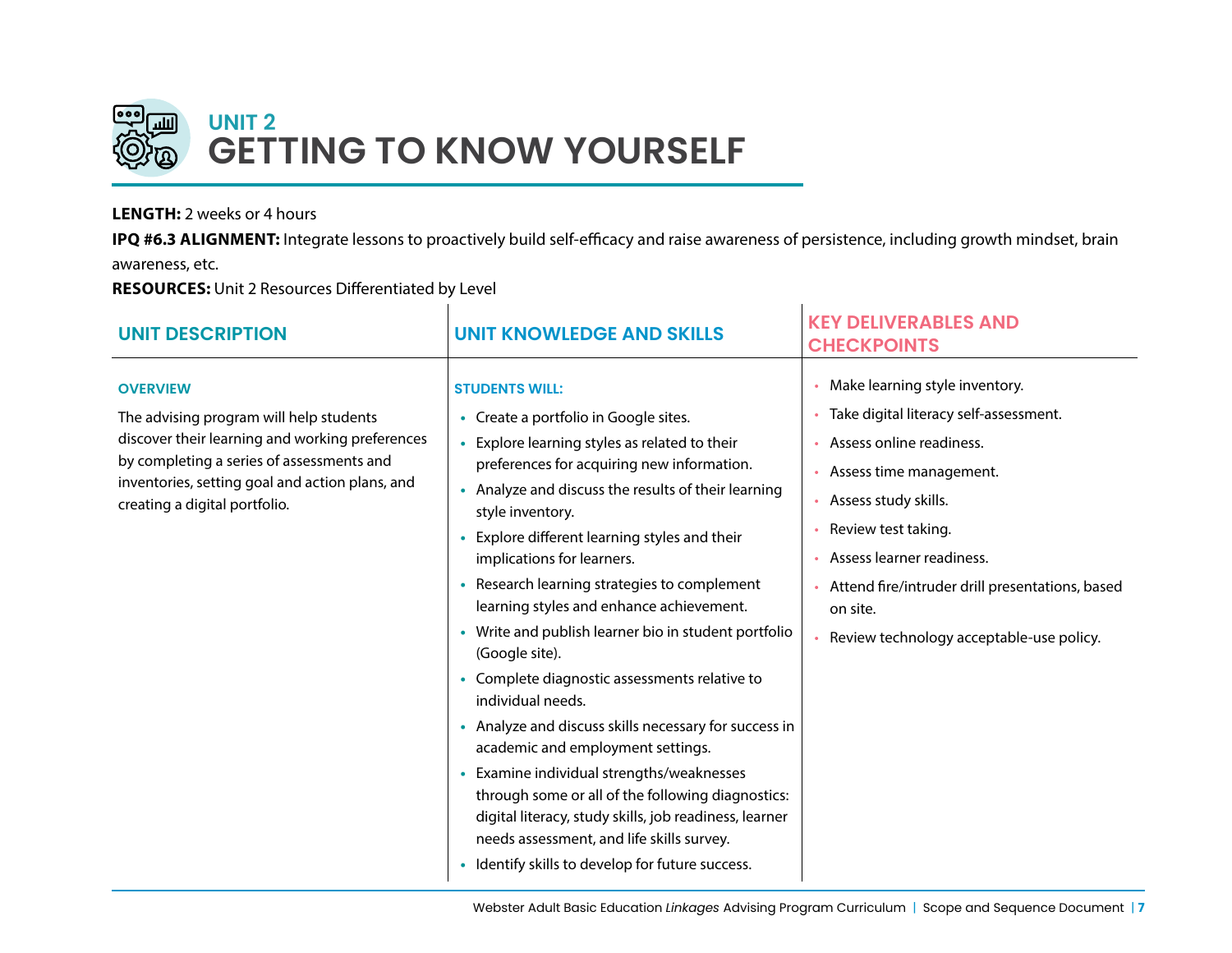

# **UNIT 2 GETTING TO KNOW YOURSELF**

#### **LENGTH:** 2 weeks or 4 hours

**IPQ #6.3 ALIGNMENT:** Integrate lessons to proactively build self-efficacy and raise awareness of persistence, including growth mindset, brain awareness, etc.

**RESOURCES:** Unit 2 Resources Differentiated by Level

|                                                                                                                                                                                                                                                                                                                                                                                                                                                                                                                                                                                                                                                                                                                                                                                                                                                                                                                                                                                                                                                                                                                                                                                                                              | Make learning style inventory.                                                                                                                                                                                                                                           |
|------------------------------------------------------------------------------------------------------------------------------------------------------------------------------------------------------------------------------------------------------------------------------------------------------------------------------------------------------------------------------------------------------------------------------------------------------------------------------------------------------------------------------------------------------------------------------------------------------------------------------------------------------------------------------------------------------------------------------------------------------------------------------------------------------------------------------------------------------------------------------------------------------------------------------------------------------------------------------------------------------------------------------------------------------------------------------------------------------------------------------------------------------------------------------------------------------------------------------|--------------------------------------------------------------------------------------------------------------------------------------------------------------------------------------------------------------------------------------------------------------------------|
| <b>OVERVIEW</b><br><b>STUDENTS WILL:</b><br>The advising program will help students<br>Create a portfolio in Google sites.<br>discover their learning and working preferences<br>Explore learning styles as related to their<br>$\bullet$<br>by completing a series of assessments and<br>preferences for acquiring new information.<br>inventories, setting goal and action plans, and<br>Analyze and discuss the results of their learning<br>$\bullet$<br>creating a digital portfolio.<br>style inventory.<br>Explore different learning styles and their<br>$\bullet$<br>implications for learners.<br>• Research learning strategies to complement<br>learning styles and enhance achievement.<br>on site.<br>• Write and publish learner bio in student portfolio<br>(Google site).<br>• Complete diagnostic assessments relative to<br>individual needs.<br>• Analyze and discuss skills necessary for success in<br>academic and employment settings.<br>Examine individual strengths/weaknesses<br>٠<br>through some or all of the following diagnostics:<br>digital literacy, study skills, job readiness, learner<br>needs assessment, and life skills survey.<br>Identify skills to develop for future success. | Take digital literacy self-assessment.<br>Assess online readiness.<br>Assess time management.<br>Assess study skills.<br>Review test taking.<br>Assess learner readiness.<br>Attend fire/intruder drill presentations, based<br>Review technology acceptable-use policy. |

 $\mathbf{I}$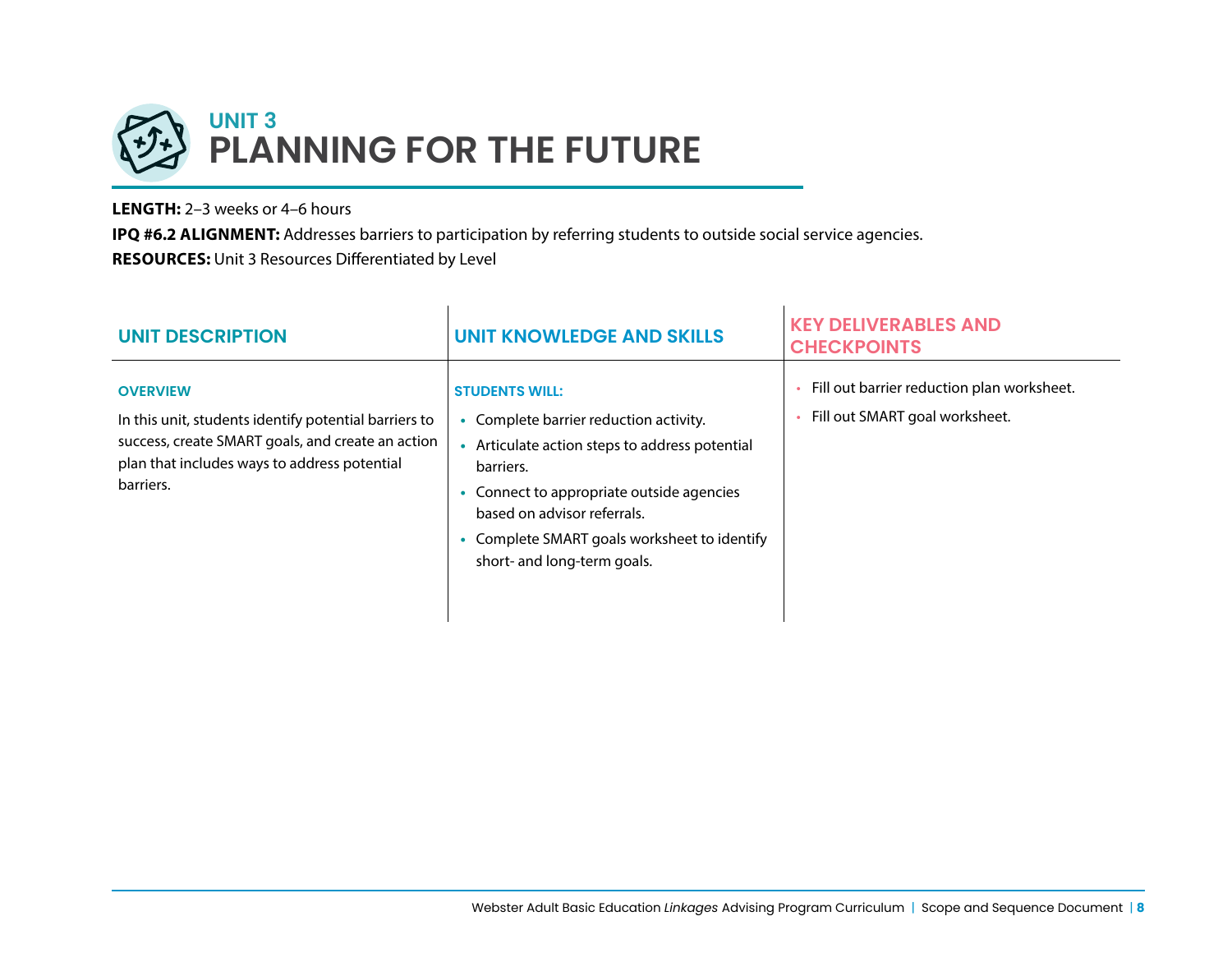

Ŷ.

**LENGTH:** 2–3 weeks or 4–6 hours

**IPQ #6.2 ALIGNMENT:** Addresses barriers to participation by referring students to outside social service agencies. **RESOURCES:** Unit 3 Resources Differentiated by Level

| <b>UNIT DESCRIPTION</b>                                                                                                                                                                    | UNIT KNOWLEDGE AND SKILLS                                                                                                                                                                                                                                                         | <b>KEY DELIVERABLES AND</b><br><b>CHECKPOINTS</b>                            |
|--------------------------------------------------------------------------------------------------------------------------------------------------------------------------------------------|-----------------------------------------------------------------------------------------------------------------------------------------------------------------------------------------------------------------------------------------------------------------------------------|------------------------------------------------------------------------------|
| <b>OVERVIEW</b><br>In this unit, students identify potential barriers to<br>success, create SMART goals, and create an action<br>plan that includes ways to address potential<br>barriers. | <b>STUDENTS WILL:</b><br>Complete barrier reduction activity.<br>Articulate action steps to address potential<br>barriers.<br>Connect to appropriate outside agencies<br>based on advisor referrals.<br>Complete SMART goals worksheet to identify<br>short- and long-term goals. | Fill out barrier reduction plan worksheet.<br>Fill out SMART goal worksheet. |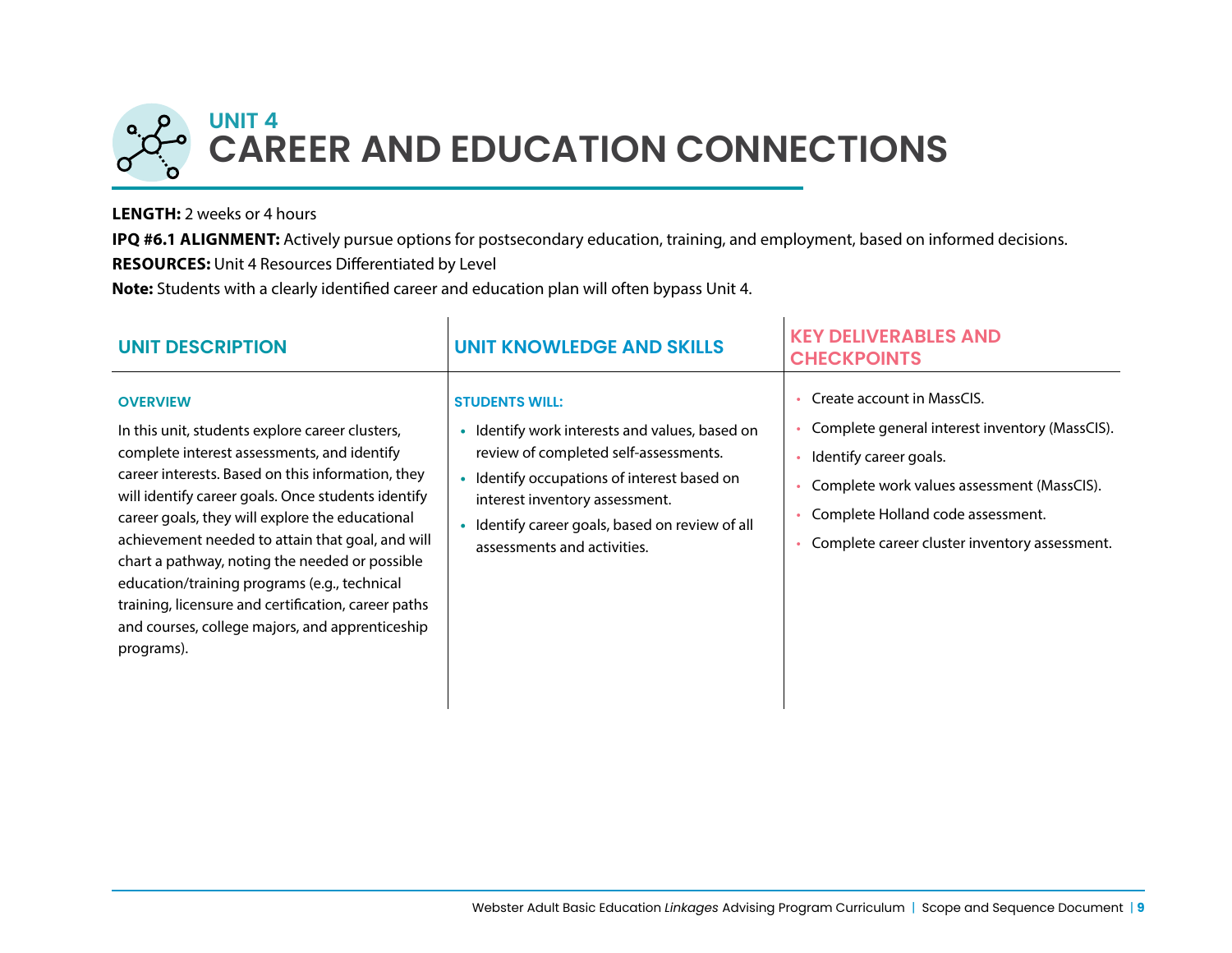

#### **LENGTH:** 2 weeks or 4 hours

**IPQ #6.1 ALIGNMENT:** Actively pursue options for postsecondary education, training, and employment, based on informed decisions. **RESOURCES:** Unit 4 Resources Differentiated by Level

**Note:** Students with a clearly identified career and education plan will often bypass Unit 4.

| <b>UNIT DESCRIPTION</b>                                                                                                                                                                                                                                                                                                                                                                                                                                                                                                                                       | <b>UNIT KNOWLEDGE AND SKILLS</b>                                                                                                                                                                                                                                              | <b>KEY DELIVERABLES AND</b><br><b>CHECKPOINTS</b>                                                                                                                                                                                          |
|---------------------------------------------------------------------------------------------------------------------------------------------------------------------------------------------------------------------------------------------------------------------------------------------------------------------------------------------------------------------------------------------------------------------------------------------------------------------------------------------------------------------------------------------------------------|-------------------------------------------------------------------------------------------------------------------------------------------------------------------------------------------------------------------------------------------------------------------------------|--------------------------------------------------------------------------------------------------------------------------------------------------------------------------------------------------------------------------------------------|
| <b>OVERVIEW</b><br>In this unit, students explore career clusters,<br>complete interest assessments, and identify<br>career interests. Based on this information, they<br>will identify career goals. Once students identify<br>career goals, they will explore the educational<br>achievement needed to attain that goal, and will<br>chart a pathway, noting the needed or possible<br>education/training programs (e.g., technical<br>training, licensure and certification, career paths<br>and courses, college majors, and apprenticeship<br>programs). | <b>STUDENTS WILL:</b><br>Identify work interests and values, based on<br>review of completed self-assessments.<br>Identify occupations of interest based on<br>interest inventory assessment.<br>Identify career goals, based on review of all<br>assessments and activities. | Create account in MassCIS.<br>Complete general interest inventory (MassCIS).<br>Identify career goals.<br>Complete work values assessment (MassCIS).<br>Complete Holland code assessment.<br>Complete career cluster inventory assessment. |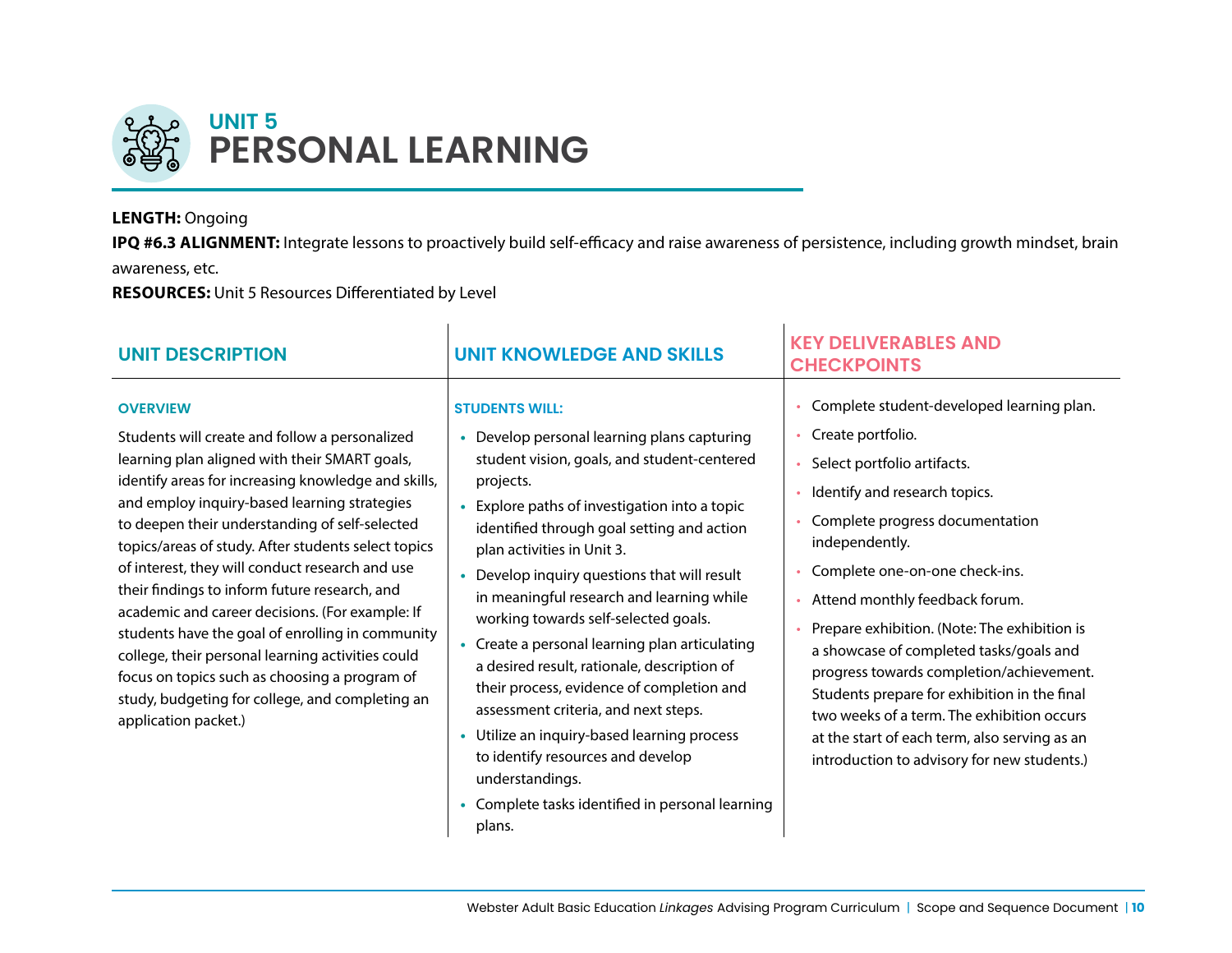

#### **LENGTH:** Ongoing

**IPQ #6.3 ALIGNMENT:** Integrate lessons to proactively build self-efficacy and raise awareness of persistence, including growth mindset, brain awareness, etc.

**RESOURCES:** Unit 5 Resources Differentiated by Level

| <b>UNIT DESCRIPTION</b>                                                                                                                                                                                                                                                                                                                                                                                                                                                                                                                                                                                                                                                                                                        | <b>UNIT KNOWLEDGE AND SKILLS</b>                                                                                                                                                                                                                                                                                                                                                                                                                                                                                                                                                                                                                                                      | <b>KEY DELIVERABLES AND</b><br><b>CHECKPOINTS</b>                                                                                                                                                                                                                                                                                                                                                                                                                                                                                                                                            |
|--------------------------------------------------------------------------------------------------------------------------------------------------------------------------------------------------------------------------------------------------------------------------------------------------------------------------------------------------------------------------------------------------------------------------------------------------------------------------------------------------------------------------------------------------------------------------------------------------------------------------------------------------------------------------------------------------------------------------------|---------------------------------------------------------------------------------------------------------------------------------------------------------------------------------------------------------------------------------------------------------------------------------------------------------------------------------------------------------------------------------------------------------------------------------------------------------------------------------------------------------------------------------------------------------------------------------------------------------------------------------------------------------------------------------------|----------------------------------------------------------------------------------------------------------------------------------------------------------------------------------------------------------------------------------------------------------------------------------------------------------------------------------------------------------------------------------------------------------------------------------------------------------------------------------------------------------------------------------------------------------------------------------------------|
| <b>OVERVIEW</b><br>Students will create and follow a personalized<br>learning plan aligned with their SMART goals,<br>identify areas for increasing knowledge and skills,<br>and employ inquiry-based learning strategies<br>to deepen their understanding of self-selected<br>topics/areas of study. After students select topics<br>of interest, they will conduct research and use<br>their findings to inform future research, and<br>academic and career decisions. (For example: If<br>students have the goal of enrolling in community<br>college, their personal learning activities could<br>focus on topics such as choosing a program of<br>study, budgeting for college, and completing an<br>application packet.) | <b>STUDENTS WILL:</b><br>Develop personal learning plans capturing<br>student vision, goals, and student-centered<br>projects.<br>Explore paths of investigation into a topic<br>identified through goal setting and action<br>plan activities in Unit 3.<br>Develop inquiry questions that will result<br>in meaningful research and learning while<br>working towards self-selected goals.<br>Create a personal learning plan articulating<br>a desired result, rationale, description of<br>their process, evidence of completion and<br>assessment criteria, and next steps.<br>Utilize an inquiry-based learning process<br>to identify resources and develop<br>understandings. | Complete student-developed learning plan.<br>Create portfolio.<br>Select portfolio artifacts.<br>Identify and research topics.<br>Complete progress documentation<br>independently.<br>Complete one-on-one check-ins.<br>Attend monthly feedback forum.<br>Prepare exhibition. (Note: The exhibition is<br>a showcase of completed tasks/goals and<br>progress towards completion/achievement.<br>Students prepare for exhibition in the final<br>two weeks of a term. The exhibition occurs<br>at the start of each term, also serving as an<br>introduction to advisory for new students.) |

**•** Complete tasks identified in personal learning

plans.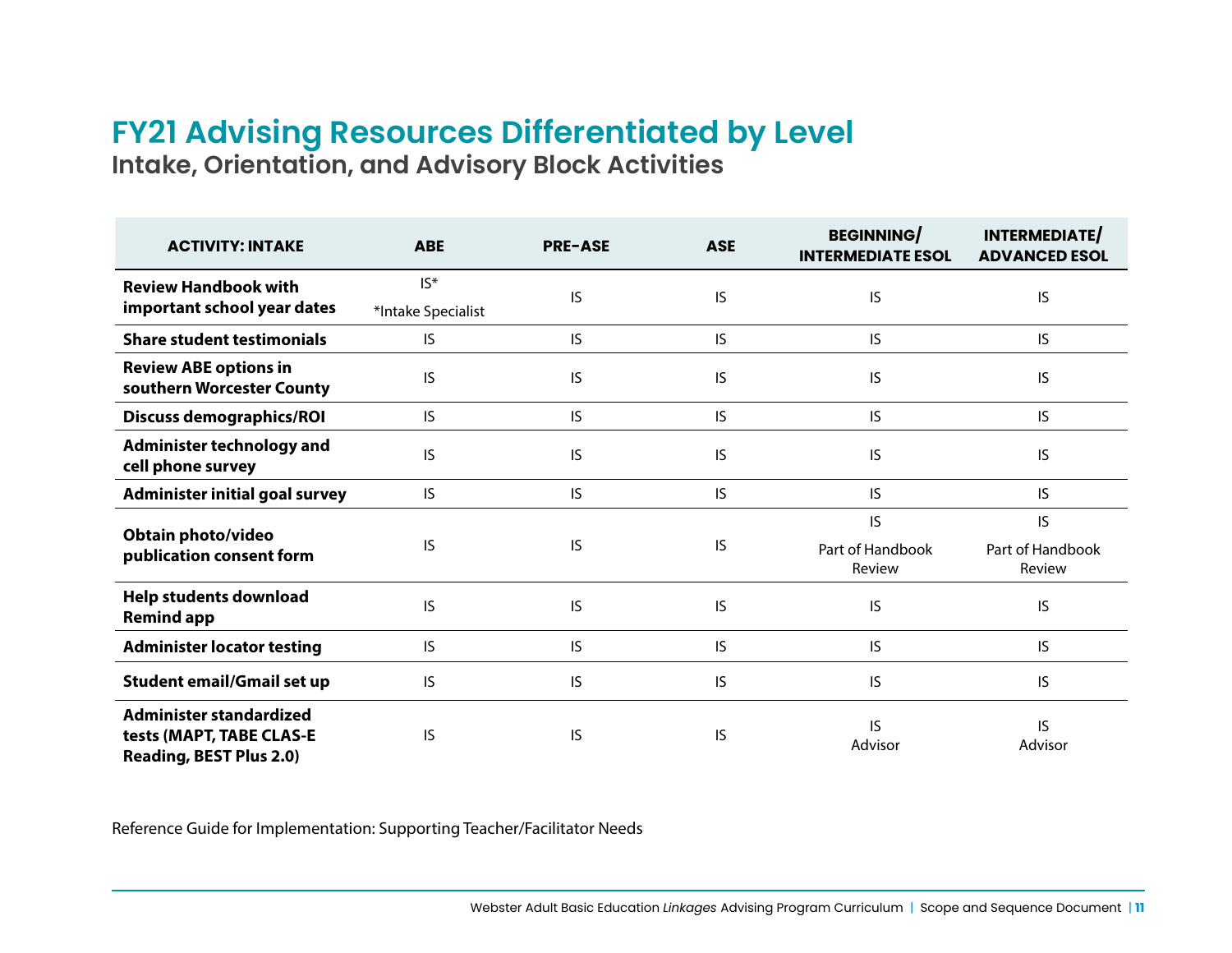# **FY21 Advising Resources Differentiated by Level Intake, Orientation, and Advisory Block Activities**

| <b>ACTIVITY: INTAKE</b>                                                               | <b>ABE</b>                   | <b>PRE-ASE</b> | <b>ASE</b> | <b>BEGINNING</b><br><b>INTERMEDIATE ESOL</b> | <b>INTERMEDIATE</b><br><b>ADVANCED ESOL</b> |
|---------------------------------------------------------------------------------------|------------------------------|----------------|------------|----------------------------------------------|---------------------------------------------|
| <b>Review Handbook with</b><br>important school year dates                            | $IS^*$<br>*Intake Specialist | IS             | IS         | IS                                           | IS                                          |
| <b>Share student testimonials</b>                                                     | IS                           | IS             | IS         | IS                                           | IS                                          |
| <b>Review ABE options in</b><br>southern Worcester County                             | IS                           | IS             | IS         | IS                                           | IS                                          |
| <b>Discuss demographics/ROI</b>                                                       | IS                           | IS             | IS         | IS                                           | IS                                          |
| <b>Administer technology and</b><br>cell phone survey                                 | IS                           | IS             | IS         | IS                                           | IS                                          |
| <b>Administer initial goal survey</b>                                                 | IS                           | IS             | IS         | IS                                           | IS                                          |
| Obtain photo/video<br>publication consent form                                        | IS                           | <b>IS</b>      | IS         | IS<br>Part of Handbook<br>Review             | IS<br>Part of Handbook<br>Review            |
| <b>Help students download</b><br><b>Remind app</b>                                    | IS                           | <b>IS</b>      | <b>IS</b>  | IS.                                          | IS                                          |
| <b>Administer locator testing</b>                                                     | IS                           | IS.            | IS         | IS                                           | IS                                          |
| <b>Student email/Gmail set up</b>                                                     | IS                           | IS             | IS         | IS                                           | IS                                          |
| Administer standardized<br>tests (MAPT, TABE CLAS-E<br><b>Reading, BEST Plus 2.0)</b> | IS                           | IS             | IS         | IS<br>Advisor                                | IS<br>Advisor                               |

Reference Guide for Implementation: [Supporting Teacher/Facilitator Needs](https://docs.google.com/document/d/1yghiRGf_BybH0AWTi0o2026dUKwP8f4aA-FPg7pUYvg/edit)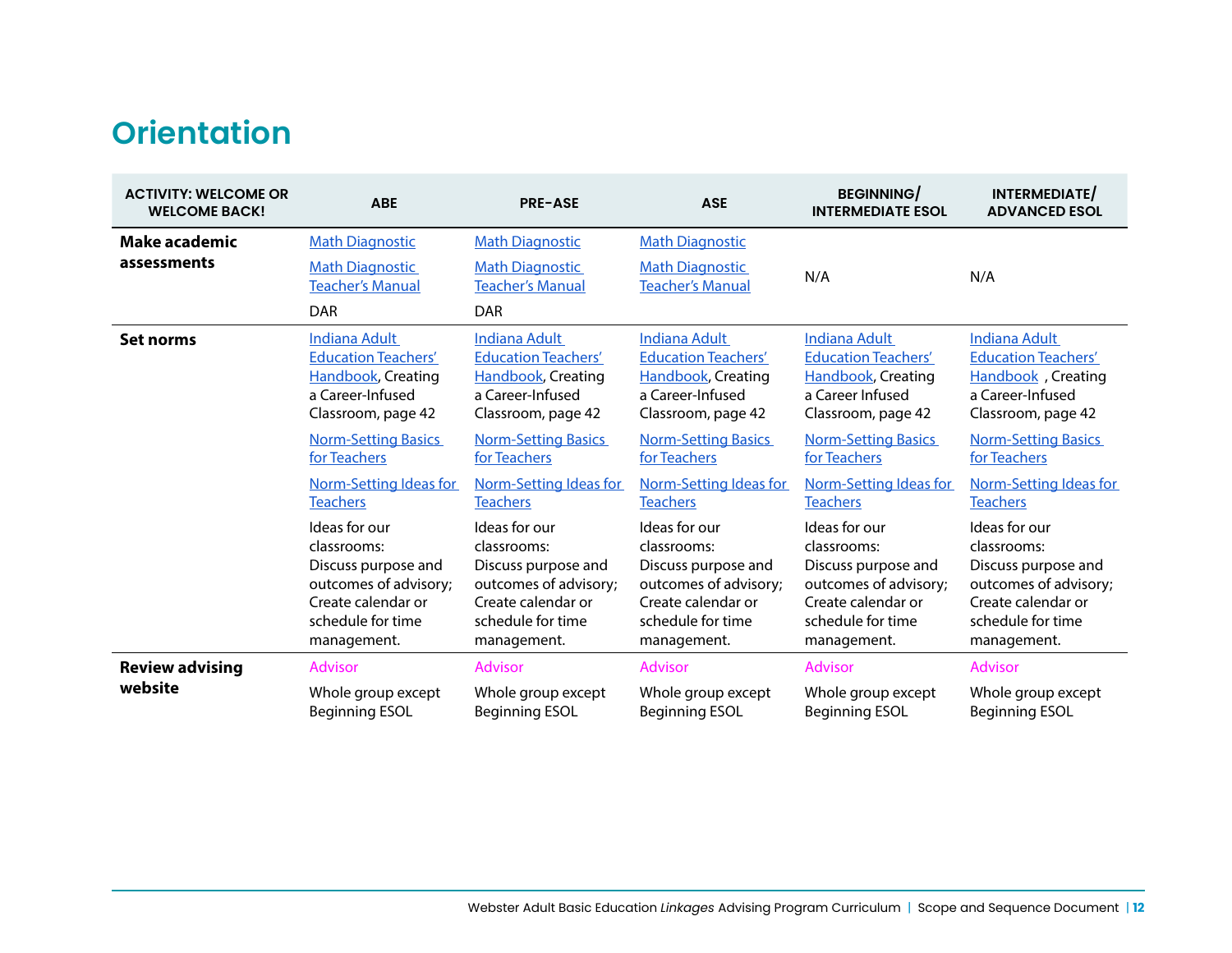# **Orientation**

| <b>ACTIVITY: WELCOME OR</b><br><b>WELCOME BACK!</b> | <b>ABE</b>                                                      | <b>PRE-ASE</b>                                                  | <b>ASE</b>                                        | <b>BEGINNING/</b><br><b>INTERMEDIATE ESOL</b> | INTERMEDIATE/<br><b>ADVANCED ESOL</b> |
|-----------------------------------------------------|-----------------------------------------------------------------|-----------------------------------------------------------------|---------------------------------------------------|-----------------------------------------------|---------------------------------------|
| <b>Make academic</b>                                | <b>Math Diagnostic</b>                                          | <b>Math Diagnostic</b>                                          | <b>Math Diagnostic</b>                            |                                               |                                       |
| assessments                                         | <b>Math Diagnostic</b><br><b>Teacher's Manual</b><br><b>DAR</b> | <b>Math Diagnostic</b><br><b>Teacher's Manual</b><br><b>DAR</b> | <b>Math Diagnostic</b><br><b>Teacher's Manual</b> | N/A                                           | N/A                                   |
| Set norms                                           | <b>Indiana Adult</b>                                            | <b>Indiana Adult</b>                                            | <b>Indiana Adult</b>                              | Indiana Adult                                 | Indiana Adult                         |
|                                                     | <b>Education Teachers'</b>                                      | <b>Education Teachers'</b>                                      | <b>Education Teachers'</b>                        | <b>Education Teachers'</b>                    | <b>Education Teachers'</b>            |
|                                                     | <b>Handbook, Creating</b>                                       | <b>Handbook, Creating</b>                                       | <b>Handbook, Creating</b>                         | <b>Handbook, Creating</b>                     | Handbook, Creating                    |
|                                                     | a Career-Infused                                                | a Career-Infused                                                | a Career-Infused                                  | a Career Infused                              | a Career-Infused                      |
|                                                     | Classroom, page 42                                              | Classroom, page 42                                              | Classroom, page 42                                | Classroom, page 42                            | Classroom, page 42                    |
|                                                     | <b>Norm-Setting Basics</b>                                      | <b>Norm-Setting Basics</b>                                      | <b>Norm-Setting Basics</b>                        | <b>Norm-Setting Basics</b>                    | <b>Norm-Setting Basics</b>            |
|                                                     | for Teachers                                                    | for Teachers                                                    | for Teachers                                      | for Teachers                                  | for Teachers                          |
|                                                     | Norm-Setting Ideas for                                          | <b>Norm-Setting Ideas for</b>                                   | Norm-Setting Ideas for                            | Norm-Setting Ideas for                        | Norm-Setting Ideas for                |
|                                                     | <b>Teachers</b>                                                 | <b>Teachers</b>                                                 | <b>Teachers</b>                                   | <b>Teachers</b>                               | <b>Teachers</b>                       |
|                                                     | Ideas for our                                                   | Ideas for our                                                   | Ideas for our                                     | Ideas for our                                 | Ideas for our                         |
|                                                     | classrooms:                                                     | classrooms:                                                     | classrooms:                                       | classrooms:                                   | classrooms:                           |
|                                                     | Discuss purpose and                                             | Discuss purpose and                                             | Discuss purpose and                               | Discuss purpose and                           | Discuss purpose and                   |
|                                                     | outcomes of advisory;                                           | outcomes of advisory;                                           | outcomes of advisory;                             | outcomes of advisory;                         | outcomes of advisory;                 |
|                                                     | Create calendar or                                              | Create calendar or                                              | Create calendar or                                | Create calendar or                            | Create calendar or                    |
|                                                     | schedule for time                                               | schedule for time                                               | schedule for time                                 | schedule for time                             | schedule for time                     |
|                                                     | management.                                                     | management.                                                     | management.                                       | management.                                   | management.                           |
| <b>Review advising</b>                              | <b>Advisor</b>                                                  | <b>Advisor</b>                                                  | <b>Advisor</b>                                    | <b>Advisor</b>                                | Advisor                               |
| website                                             | Whole group except                                              | Whole group except                                              | Whole group except                                | Whole group except                            | Whole group except                    |
|                                                     | <b>Beginning ESOL</b>                                           | <b>Beginning ESOL</b>                                           | <b>Beginning ESOL</b>                             | <b>Beginning ESOL</b>                         | <b>Beginning ESOL</b>                 |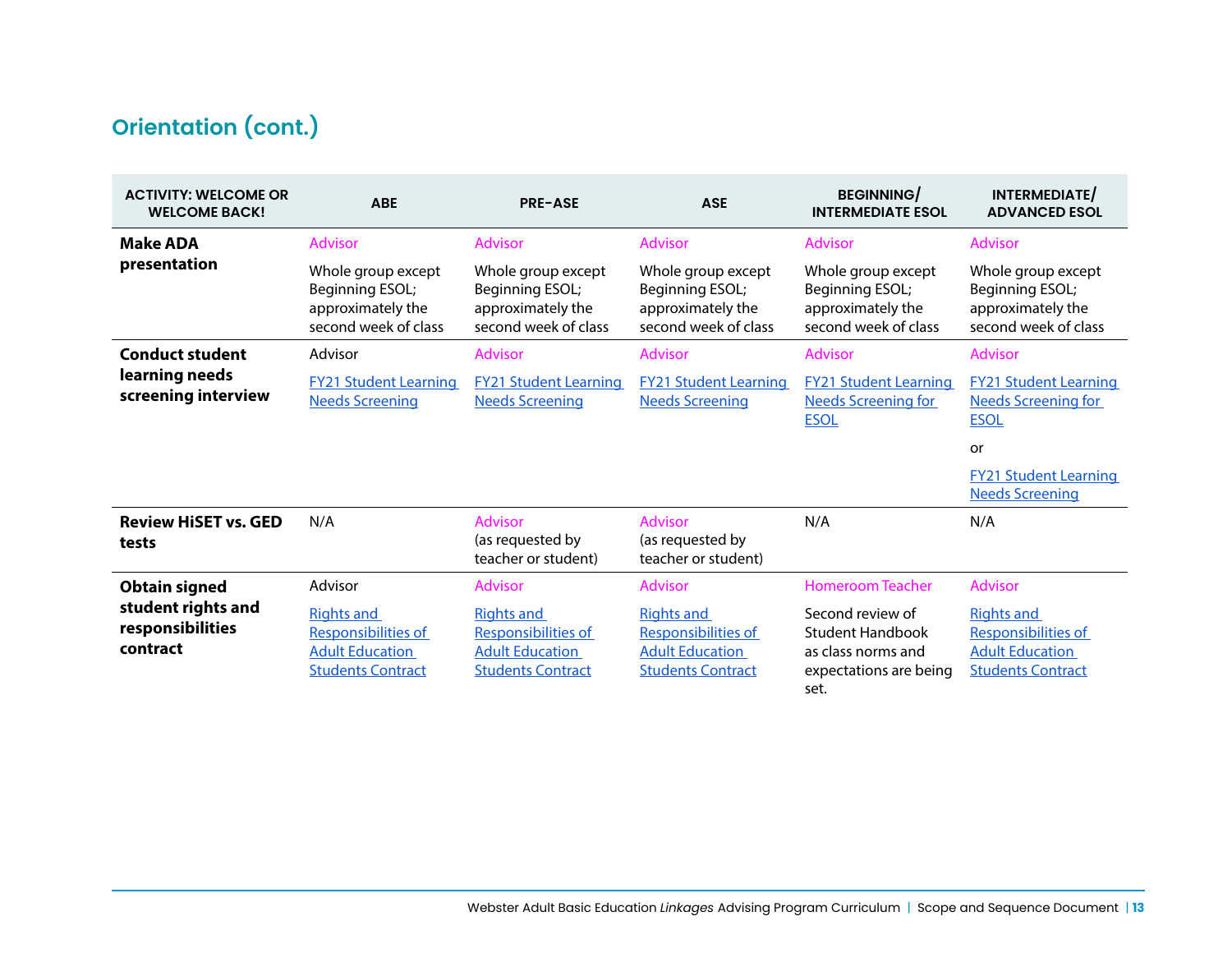# **Orientation (cont.)**

| <b>ACTIVITY: WELCOME OR</b><br><b>WELCOME BACK!</b> | <b>ABE</b>                                                                                     | <b>PRE-ASE</b>                                                                                 | <b>ASE</b>                                                                                     | <b>BEGINNING/</b><br><b>INTERMEDIATE ESOL</b>                                                       | INTERMEDIATE/<br><b>ADVANCED ESOL</b>                                                          |
|-----------------------------------------------------|------------------------------------------------------------------------------------------------|------------------------------------------------------------------------------------------------|------------------------------------------------------------------------------------------------|-----------------------------------------------------------------------------------------------------|------------------------------------------------------------------------------------------------|
| <b>Make ADA</b>                                     | <b>Advisor</b>                                                                                 | <b>Advisor</b>                                                                                 | <b>Advisor</b>                                                                                 | <b>Advisor</b>                                                                                      | <b>Advisor</b>                                                                                 |
| presentation                                        | Whole group except<br>Beginning ESOL;<br>approximately the<br>second week of class             | Whole group except<br>Beginning ESOL;<br>approximately the<br>second week of class             | Whole group except<br>Beginning ESOL;<br>approximately the<br>second week of class             | Whole group except<br>Beginning ESOL;<br>approximately the<br>second week of class                  | Whole group except<br>Beginning ESOL;<br>approximately the<br>second week of class             |
| <b>Conduct student</b>                              | Advisor                                                                                        | Advisor                                                                                        | <b>Advisor</b>                                                                                 | <b>Advisor</b>                                                                                      | Advisor                                                                                        |
| learning needs<br>screening interview               | <b>FY21 Student Learning</b><br><b>Needs Screening</b>                                         | <b>FY21 Student Learning</b><br><b>Needs Screening</b>                                         | <b>FY21 Student Learning</b><br><b>Needs Screening</b>                                         | <b>FY21 Student Learning</b><br><b>Needs Screening for</b><br><b>ESOL</b>                           | <b>FY21 Student Learning</b><br><b>Needs Screening for</b><br><b>ESOL</b>                      |
|                                                     |                                                                                                |                                                                                                |                                                                                                |                                                                                                     | or                                                                                             |
|                                                     |                                                                                                |                                                                                                |                                                                                                |                                                                                                     | <b>FY21 Student Learning</b><br><b>Needs Screening</b>                                         |
| <b>Review HiSET vs. GED</b><br>tests                | N/A                                                                                            | <b>Advisor</b><br>(as requested by<br>teacher or student)                                      | <b>Advisor</b><br>(as requested by<br>teacher or student)                                      | N/A                                                                                                 | N/A                                                                                            |
| <b>Obtain signed</b>                                | Advisor                                                                                        | <b>Advisor</b>                                                                                 | <b>Advisor</b>                                                                                 | <b>Homeroom Teacher</b>                                                                             | <b>Advisor</b>                                                                                 |
| student rights and<br>responsibilities<br>contract  | <b>Rights and</b><br>Responsibilities of<br><b>Adult Education</b><br><b>Students Contract</b> | <b>Rights and</b><br>Responsibilities of<br><b>Adult Education</b><br><b>Students Contract</b> | <b>Rights and</b><br>Responsibilities of<br><b>Adult Education</b><br><b>Students Contract</b> | Second review of<br><b>Student Handbook</b><br>as class norms and<br>expectations are being<br>set. | <b>Rights and</b><br>Responsibilities of<br><b>Adult Education</b><br><b>Students Contract</b> |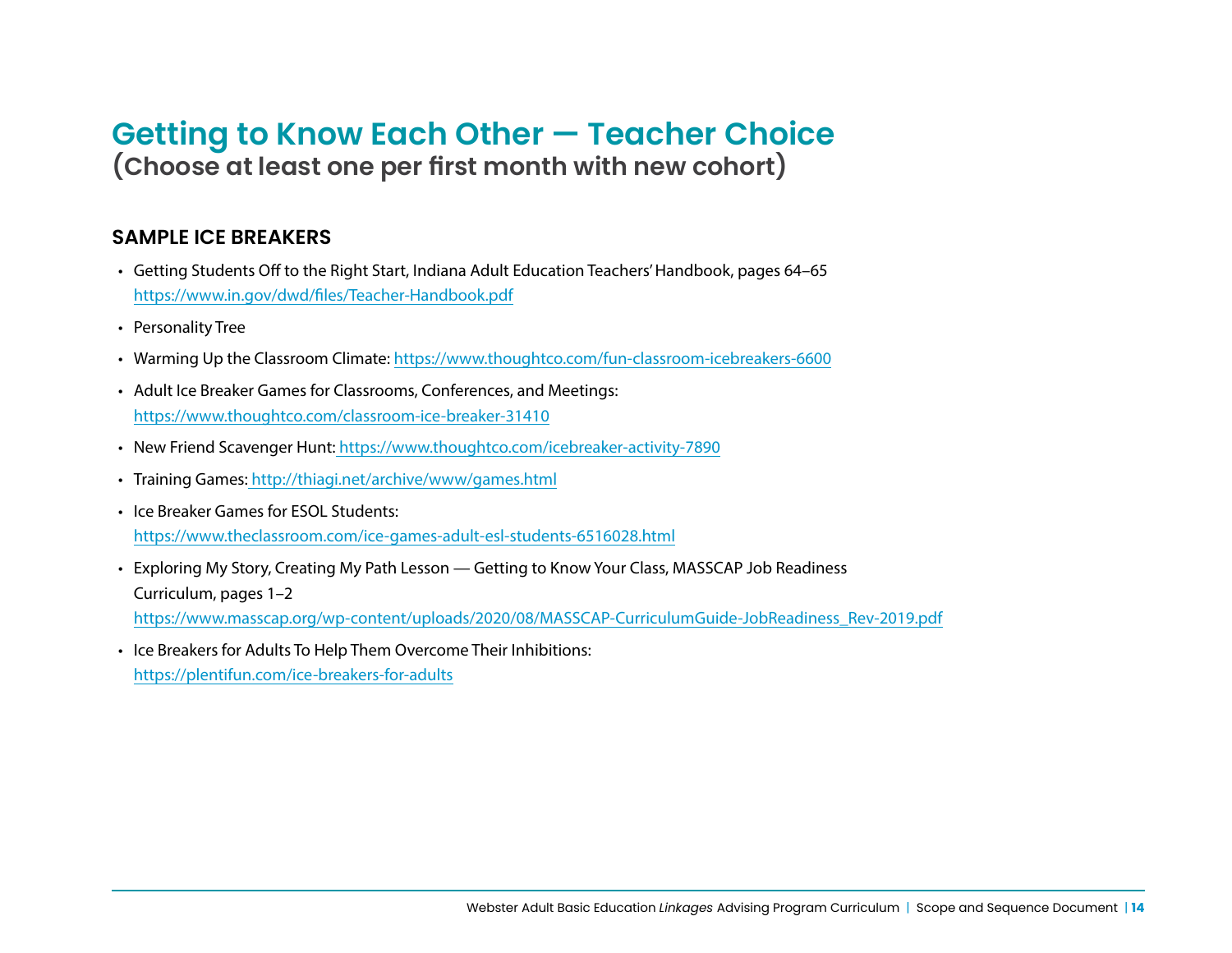# **Getting to Know Each Other — Teacher Choice (Choose at least one per first month with new cohort)**

#### **SAMPLE ICE BREAKERS**

- Getting Students Off to the Right Start, Indiana Adult Education Teachers' Handbook, pages 64–65 https://www.in.gov/dwd/files/Teacher-Handbook.pdf
- Personality Tree
- Warming Up the Classroom Climate:<https://www.thoughtco.com/fun-classroom-icebreakers-6600>
- Adult Ice Breaker Games for Classrooms, Conferences, and Meetings: <https://www.thoughtco.com/classroom-ice-breaker-31410>
- New Friend Scavenger Hunt: <https://www.thoughtco.com/icebreaker-activity-7890>
- Training Games: <http://thiagi.net/archive/www/games.html>
- Ice Breaker Games for ESOL Students: <https://www.theclassroom.com/ice-games-adult-esl-students-6516028.html>
- Exploring My Story, Creating My Path Lesson Getting to Know Your Class, MASSCAP Job Readiness Curriculum, pages 1–2 https://www.masscap.org/wp-content/uploads/2020/08/MASSCAP-CurriculumGuide-JobReadiness\_Rev-2019.pdf
- Ice Breakers for Adults To Help Them Overcome Their Inhibitions: <https://plentifun.com/ice-breakers-for-adults>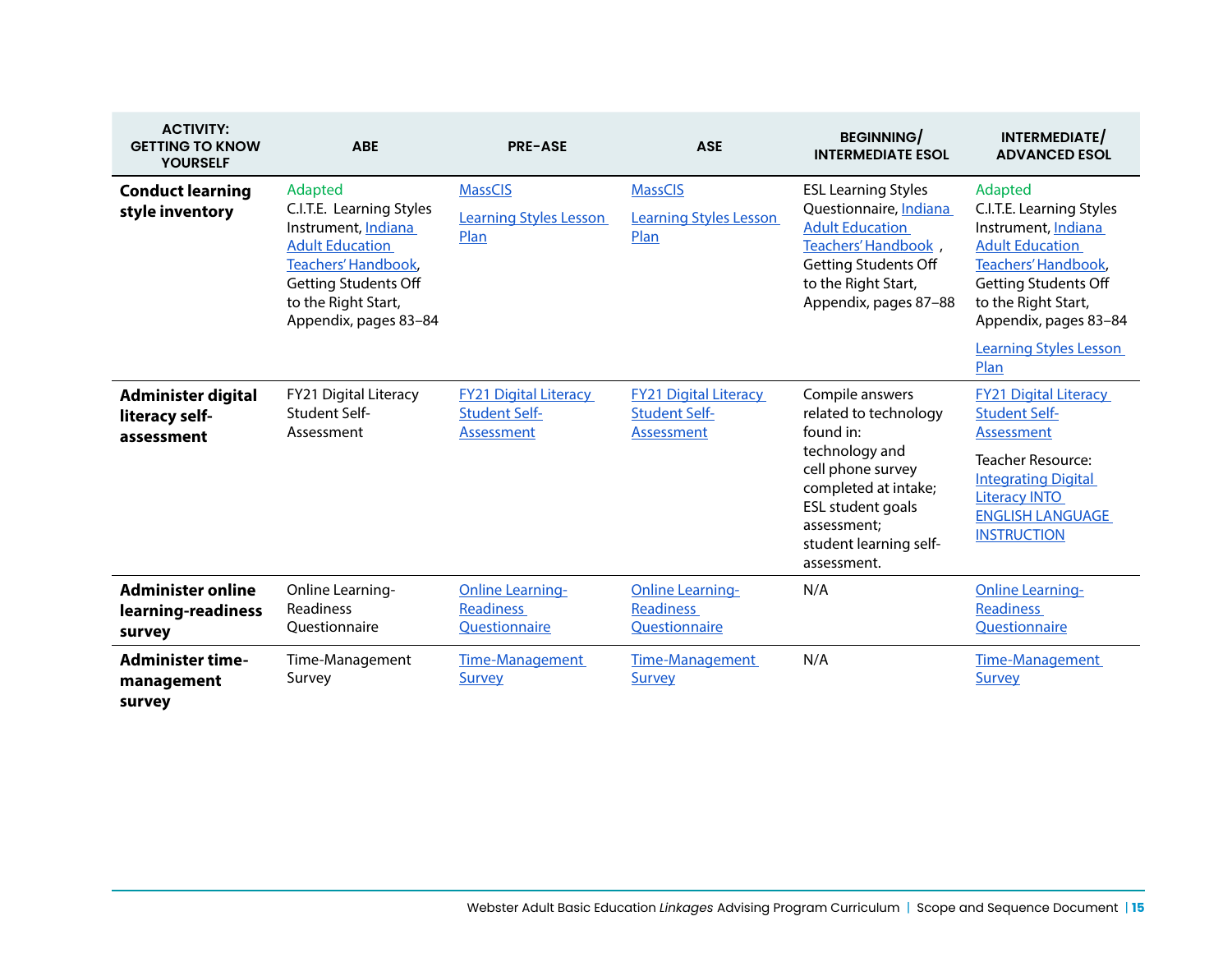| <b>ACTIVITY:</b><br><b>GETTING TO KNOW</b><br><b>YOURSELF</b> | <b>ABE</b>                                                                                                                                                                                        | <b>PRE-ASE</b>                                                            | <b>ASE</b>                                                         | <b>BEGINNING/</b><br><b>INTERMEDIATE ESOL</b>                                                                                                                                                            | INTERMEDIATE/<br><b>ADVANCED ESOL</b>                                                                                                                                                                 |
|---------------------------------------------------------------|---------------------------------------------------------------------------------------------------------------------------------------------------------------------------------------------------|---------------------------------------------------------------------------|--------------------------------------------------------------------|----------------------------------------------------------------------------------------------------------------------------------------------------------------------------------------------------------|-------------------------------------------------------------------------------------------------------------------------------------------------------------------------------------------------------|
| <b>Conduct learning</b><br>style inventory                    | Adapted<br>C.I.T.E. Learning Styles<br>Instrument, Indiana<br><b>Adult Education</b><br><b>Teachers' Handbook,</b><br><b>Getting Students Off</b><br>to the Right Start,<br>Appendix, pages 83-84 | <b>MassCIS</b><br><b>Learning Styles Lesson</b><br>Plan                   | <b>MassCIS</b><br><b>Learning Styles Lesson</b><br>Plan            | <b>ESL Learning Styles</b><br>Questionnaire, Indiana<br><b>Adult Education</b><br>Teachers' Handbook,<br><b>Getting Students Off</b><br>to the Right Start,<br>Appendix, pages 87-88                     | Adapted<br>C.I.T.E. Learning Styles<br>Instrument, Indiana<br><b>Adult Education</b><br><b>Teachers' Handbook,</b><br><b>Getting Students Off</b><br>to the Right Start,<br>Appendix, pages 83-84     |
|                                                               |                                                                                                                                                                                                   |                                                                           |                                                                    |                                                                                                                                                                                                          | <b>Learning Styles Lesson</b><br>Plan                                                                                                                                                                 |
| Administer digital<br>literacy self-<br>assessment            | FY21 Digital Literacy<br><b>Student Self-</b><br>Assessment                                                                                                                                       | <b>FY21 Digital Literacy</b><br><b>Student Self-</b><br><b>Assessment</b> | <b>FY21 Digital Literacy</b><br><b>Student Self-</b><br>Assessment | Compile answers<br>related to technology<br>found in:<br>technology and<br>cell phone survey<br>completed at intake;<br><b>ESL student goals</b><br>assessment:<br>student learning self-<br>assessment. | <b>FY21 Digital Literacy</b><br><b>Student Self-</b><br>Assessment<br><b>Teacher Resource:</b><br><b>Integrating Digital</b><br><b>Literacy INTO</b><br><b>ENGLISH LANGUAGE</b><br><b>INSTRUCTION</b> |
| <b>Administer online</b><br>learning-readiness<br>survey      | Online Learning-<br>Readiness<br>Ouestionnaire                                                                                                                                                    | <b>Online Learning-</b><br><b>Readiness</b><br>Questionnaire              | <b>Online Learning-</b><br><b>Readiness</b><br>Questionnaire       | N/A                                                                                                                                                                                                      | <b>Online Learning-</b><br><b>Readiness</b><br>Questionnaire                                                                                                                                          |
| <b>Administer time-</b><br>management<br>survey               | Time-Management<br>Survey                                                                                                                                                                         | <b>Time-Management</b><br><b>Survey</b>                                   | <b>Time-Management</b><br><b>Survey</b>                            | N/A                                                                                                                                                                                                      | <b>Time-Management</b><br>Survey                                                                                                                                                                      |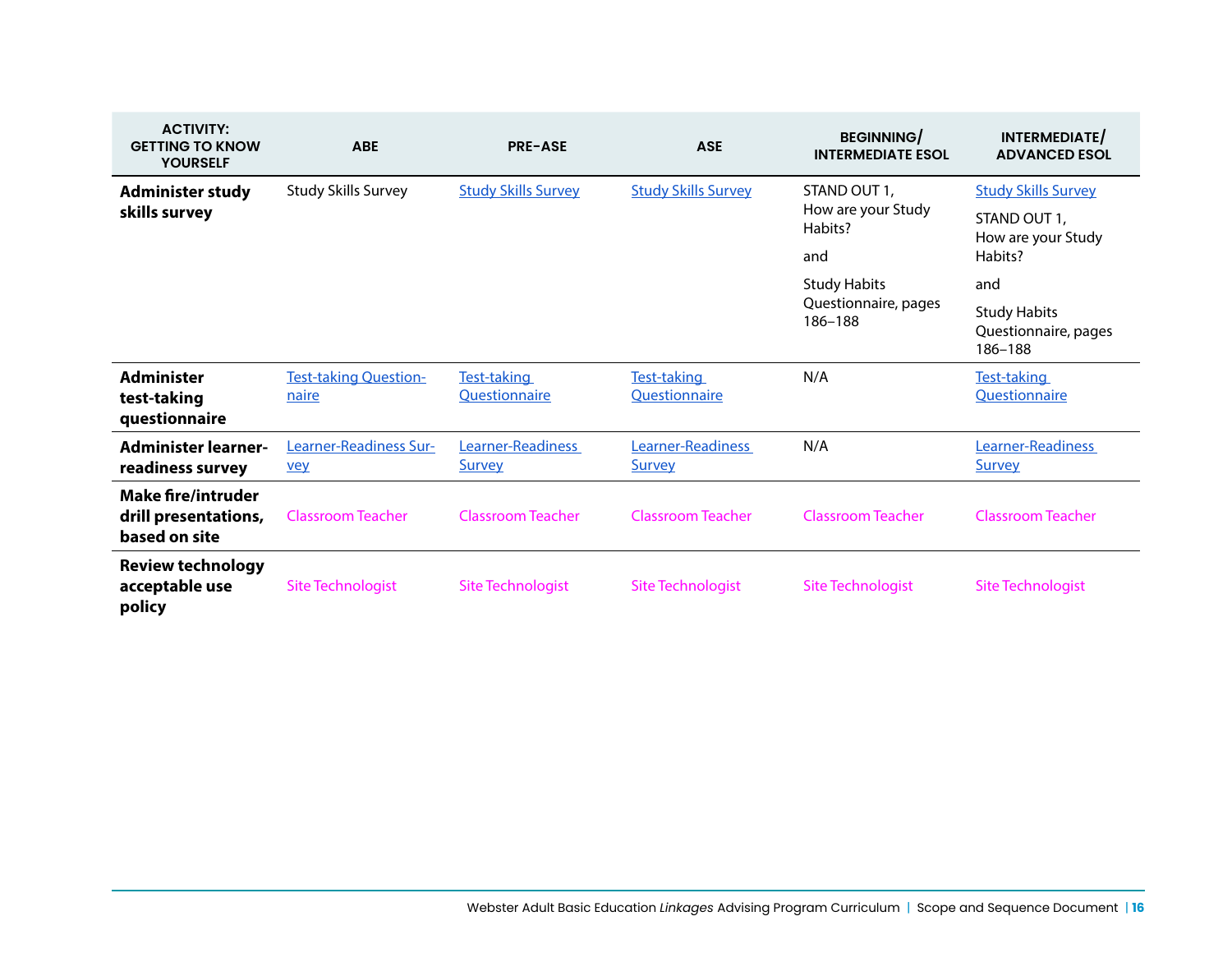| <b>ACTIVITY:</b><br><b>GETTING TO KNOW</b><br><b>YOURSELF</b>      | <b>ABE</b>                            | <b>PRE-ASE</b>                     | <b>ASE</b>                         | <b>BEGINNING</b><br><b>INTERMEDIATE ESOL</b>           | INTERMEDIATE<br><b>ADVANCED ESOL</b>                                        |
|--------------------------------------------------------------------|---------------------------------------|------------------------------------|------------------------------------|--------------------------------------------------------|-----------------------------------------------------------------------------|
| <b>Administer study</b><br>skills survey                           | <b>Study Skills Survey</b>            | <b>Study Skills Survey</b>         | <b>Study Skills Survey</b>         | STAND OUT 1,<br>How are your Study<br>Habits?<br>and   | <b>Study Skills Survey</b><br>STAND OUT 1,<br>How are your Study<br>Habits? |
|                                                                    |                                       |                                    |                                    | <b>Study Habits</b><br>Questionnaire, pages<br>186-188 | and                                                                         |
|                                                                    |                                       |                                    |                                    |                                                        | <b>Study Habits</b><br>Questionnaire, pages<br>186-188                      |
| <b>Administer</b><br>test-taking<br>questionnaire                  | <b>Test-taking Question-</b><br>naire | Test-taking<br>Questionnaire       | Test-taking<br>Questionnaire       | N/A                                                    | Test-taking<br>Questionnaire                                                |
| <b>Administer learner-</b><br>readiness survey                     | Learner-Readiness Sur-<br><b>vey</b>  | Learner-Readiness<br><b>Survey</b> | Learner-Readiness<br><b>Survey</b> | N/A                                                    | Learner-Readiness<br><b>Survey</b>                                          |
| <b>Make fire/intruder</b><br>drill presentations,<br>based on site | <b>Classroom Teacher</b>              | <b>Classroom Teacher</b>           | <b>Classroom Teacher</b>           | <b>Classroom Teacher</b>                               | <b>Classroom Teacher</b>                                                    |
| <b>Review technology</b><br>acceptable use<br>policy               | <b>Site Technologist</b>              | Site Technologist                  | <b>Site Technologist</b>           | <b>Site Technologist</b>                               | <b>Site Technologist</b>                                                    |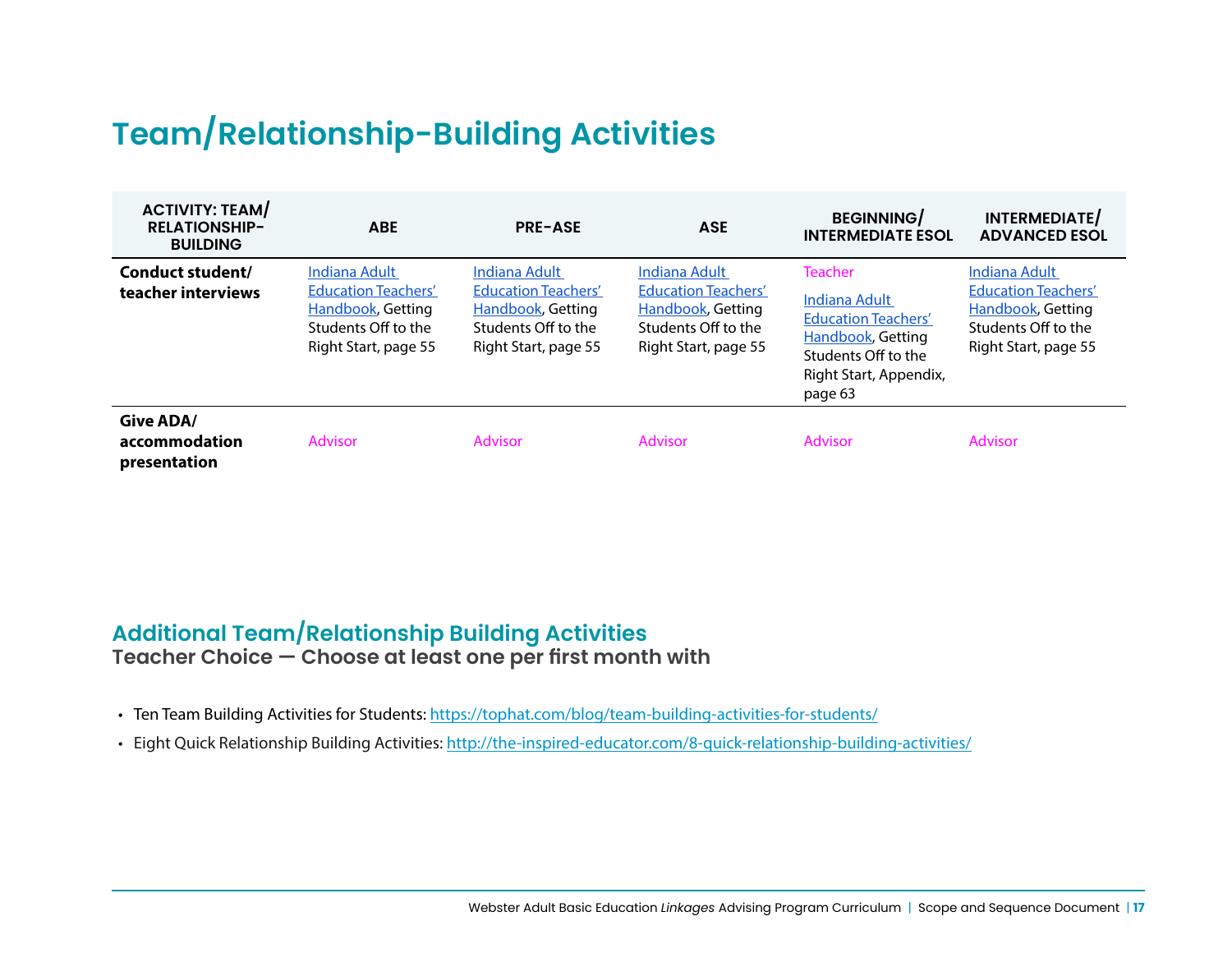# **Team/Relationship-Building Activities**

| <b>ACTIVITY: TEAM/</b><br><b>RELATIONSHIP-</b><br><b>BUILDING</b> | <b>ABE</b>                                                                                                             | <b>PRE-ASE</b>                                                                                                  | <b>ASE</b>                                                                                                                    | <b>BEGINNING/</b><br><b>INTERMEDIATE ESOL</b>                                                                                                         | INTERMEDIATE/<br><b>ADVANCED ESOL</b>                                                                                  |
|-------------------------------------------------------------------|------------------------------------------------------------------------------------------------------------------------|-----------------------------------------------------------------------------------------------------------------|-------------------------------------------------------------------------------------------------------------------------------|-------------------------------------------------------------------------------------------------------------------------------------------------------|------------------------------------------------------------------------------------------------------------------------|
| Conduct student/<br>teacher interviews                            | Indiana Adult<br><b>Education Teachers'</b><br><b>Handbook, Getting</b><br>Students Off to the<br>Right Start, page 55 | Indiana Adult<br><b>Education Teachers'</b><br>Handbook, Getting<br>Students Off to the<br>Right Start, page 55 | <b>Indiana Adult</b><br><b>Education Teachers'</b><br><b>Handbook, Getting</b><br>Students Off to the<br>Right Start, page 55 | <b>Teacher</b><br>Indiana Adult<br><b>Education Teachers'</b><br><b>Handbook, Getting</b><br>Students Off to the<br>Right Start, Appendix,<br>page 63 | Indiana Adult<br><b>Education Teachers'</b><br><b>Handbook, Getting</b><br>Students Off to the<br>Right Start, page 55 |
| <b>Give ADA/</b><br>accommodation<br>presentation                 | <b>Advisor</b>                                                                                                         | <b>Advisor</b>                                                                                                  | <b>Advisor</b>                                                                                                                | <b>Advisor</b>                                                                                                                                        | <b>Advisor</b>                                                                                                         |

### **Additional Team/Relationship Building Activities Teacher Choice — Choose at least one per first month with**

- Ten Team Building Activities for Students:<https://tophat.com/blog/team-building-activities-for-students/>
- Eight Quick Relationship Building Activities:<http://the-inspired-educator.com/8-quick-relationship-building-activities/>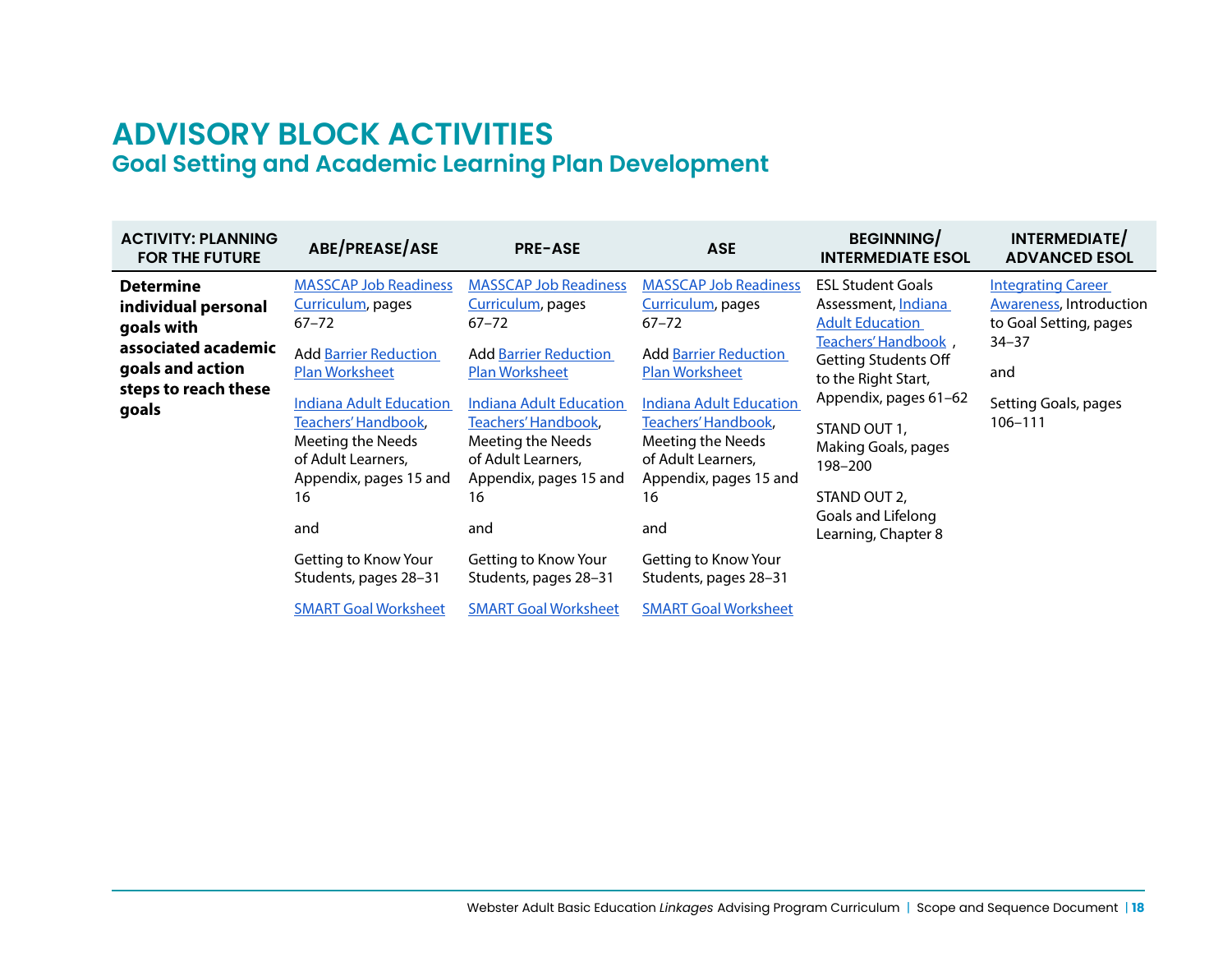# **ADVISORY BLOCK ACTIVITIES Goal Setting and Academic Learning Plan Development**

| <b>ACTIVITY: PLANNING</b><br><b>FOR THE FUTURE</b>                                                                                | ABE/PREASE/ASE                                                                                                      | <b>PRE-ASE</b>                                                                                                      | <b>ASE</b>                                                                                                          | <b>BEGINNING/</b><br><b>INTERMEDIATE ESOL</b>                                                                                                                                                                                                                                                  | INTERMEDIATE/<br><b>ADVANCED ESOL</b>                                                                                                        |
|-----------------------------------------------------------------------------------------------------------------------------------|---------------------------------------------------------------------------------------------------------------------|---------------------------------------------------------------------------------------------------------------------|---------------------------------------------------------------------------------------------------------------------|------------------------------------------------------------------------------------------------------------------------------------------------------------------------------------------------------------------------------------------------------------------------------------------------|----------------------------------------------------------------------------------------------------------------------------------------------|
| <b>Determine</b><br>individual personal<br>goals with<br>associated academic<br>goals and action<br>steps to reach these<br>goals | <b>MASSCAP Job Readiness</b><br>Curriculum, pages<br>$67 - 72$                                                      | <b>MASSCAP Job Readiness</b><br>Curriculum, pages<br>$67 - 72$                                                      | <b>MASSCAP Job Readiness</b><br>Curriculum, pages<br>$67 - 72$                                                      | <b>ESL Student Goals</b><br>Assessment, Indiana<br><b>Adult Education</b><br>Teachers' Handbook,<br><b>Getting Students Off</b><br>to the Right Start,<br>Appendix, pages 61-62<br>STAND OUT 1,<br>Making Goals, pages<br>198-200<br>STAND OUT 2,<br>Goals and Lifelong<br>Learning, Chapter 8 | <b>Integrating Career</b><br><b>Awareness, Introduction</b><br>to Goal Setting, pages<br>$34 - 37$<br>and<br>Setting Goals, pages<br>106-111 |
|                                                                                                                                   | <b>Add Barrier Reduction</b><br><b>Plan Worksheet</b>                                                               | <b>Add Barrier Reduction</b><br><b>Plan Worksheet</b>                                                               | <b>Add Barrier Reduction</b><br><b>Plan Worksheet</b>                                                               |                                                                                                                                                                                                                                                                                                |                                                                                                                                              |
|                                                                                                                                   | Indiana Adult Education<br>Teachers' Handbook,<br>Meeting the Needs<br>of Adult Learners,<br>Appendix, pages 15 and | Indiana Adult Education<br>Teachers' Handbook,<br>Meeting the Needs<br>of Adult Learners,<br>Appendix, pages 15 and | Indiana Adult Education<br>Teachers' Handbook,<br>Meeting the Needs<br>of Adult Learners,<br>Appendix, pages 15 and |                                                                                                                                                                                                                                                                                                |                                                                                                                                              |
|                                                                                                                                   | 16<br>and                                                                                                           | 16<br>and                                                                                                           | 16<br>and                                                                                                           |                                                                                                                                                                                                                                                                                                |                                                                                                                                              |
|                                                                                                                                   | Getting to Know Your<br>Students, pages 28-31                                                                       | Getting to Know Your<br>Students, pages 28–31                                                                       | Getting to Know Your<br>Students, pages 28-31                                                                       |                                                                                                                                                                                                                                                                                                |                                                                                                                                              |
|                                                                                                                                   | <b>SMART Goal Worksheet</b>                                                                                         | <b>SMART Goal Worksheet</b>                                                                                         | <b>SMART Goal Worksheet</b>                                                                                         |                                                                                                                                                                                                                                                                                                |                                                                                                                                              |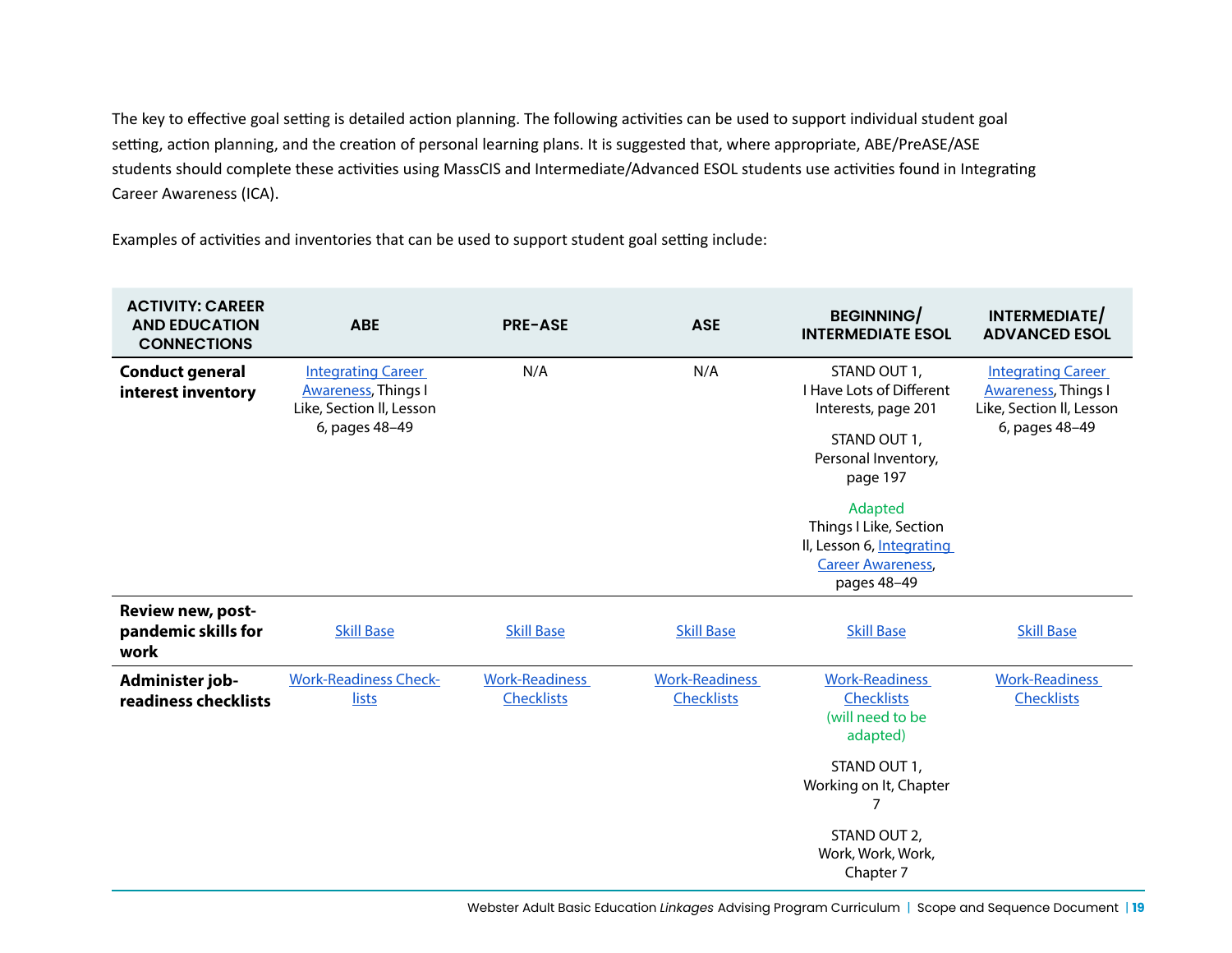The key to effective goal setting is detailed action planning. The following activities can be used to support individual student goal setting, action planning, and the creation of personal learning plans. It is suggested that, where appropriate, ABE/PreASE/ASE students should complete these activities using MassCIS and Intermediate/Advanced ESOL students use activities found in Integrating Career Awareness (ICA).

Examples of activities and inventories that can be used to support student goal setting include:

| <b>ACTIVITY: CAREER</b><br><b>AND EDUCATION</b><br><b>CONNECTIONS</b> | <b>ABE</b>                                                                                            | <b>PRE-ASE</b>                             | <b>ASE</b>                                 | <b>BEGINNING/</b><br><b>INTERMEDIATE ESOL</b>                                                                                 | INTERMEDIATE/<br><b>ADVANCED ESOL</b>                                                                  |
|-----------------------------------------------------------------------|-------------------------------------------------------------------------------------------------------|--------------------------------------------|--------------------------------------------|-------------------------------------------------------------------------------------------------------------------------------|--------------------------------------------------------------------------------------------------------|
| <b>Conduct general</b><br>interest inventory                          | <b>Integrating Career</b><br><b>Awareness, Things I</b><br>Like, Section II, Lesson<br>6, pages 48-49 | N/A                                        | N/A                                        | STAND OUT 1,<br>I Have Lots of Different<br>Interests, page 201<br>STAND OUT 1,<br>Personal Inventory,<br>page 197<br>Adapted | <b>Integrating Career</b><br><b>Awareness</b> , Things I<br>Like, Section II, Lesson<br>6, pages 48-49 |
|                                                                       |                                                                                                       |                                            |                                            | Things I Like, Section<br>II, Lesson 6, Integrating<br><b>Career Awareness,</b><br>pages 48-49                                |                                                                                                        |
| Review new, post-<br>pandemic skills for<br>work                      | <b>Skill Base</b>                                                                                     | <b>Skill Base</b>                          | <b>Skill Base</b>                          | <b>Skill Base</b>                                                                                                             | <b>Skill Base</b>                                                                                      |
| Administer job-<br>readiness checklists                               | <b>Work-Readiness Check-</b><br>lists                                                                 | <b>Work-Readiness</b><br><b>Checklists</b> | <b>Work-Readiness</b><br><b>Checklists</b> | <b>Work-Readiness</b><br><b>Checklists</b><br>(will need to be<br>adapted)                                                    | <b>Work-Readiness</b><br><b>Checklists</b>                                                             |
|                                                                       |                                                                                                       |                                            |                                            | STAND OUT 1,<br>Working on It, Chapter<br>7                                                                                   |                                                                                                        |
|                                                                       |                                                                                                       |                                            |                                            | STAND OUT 2,<br>Work, Work, Work,<br>Chapter 7                                                                                |                                                                                                        |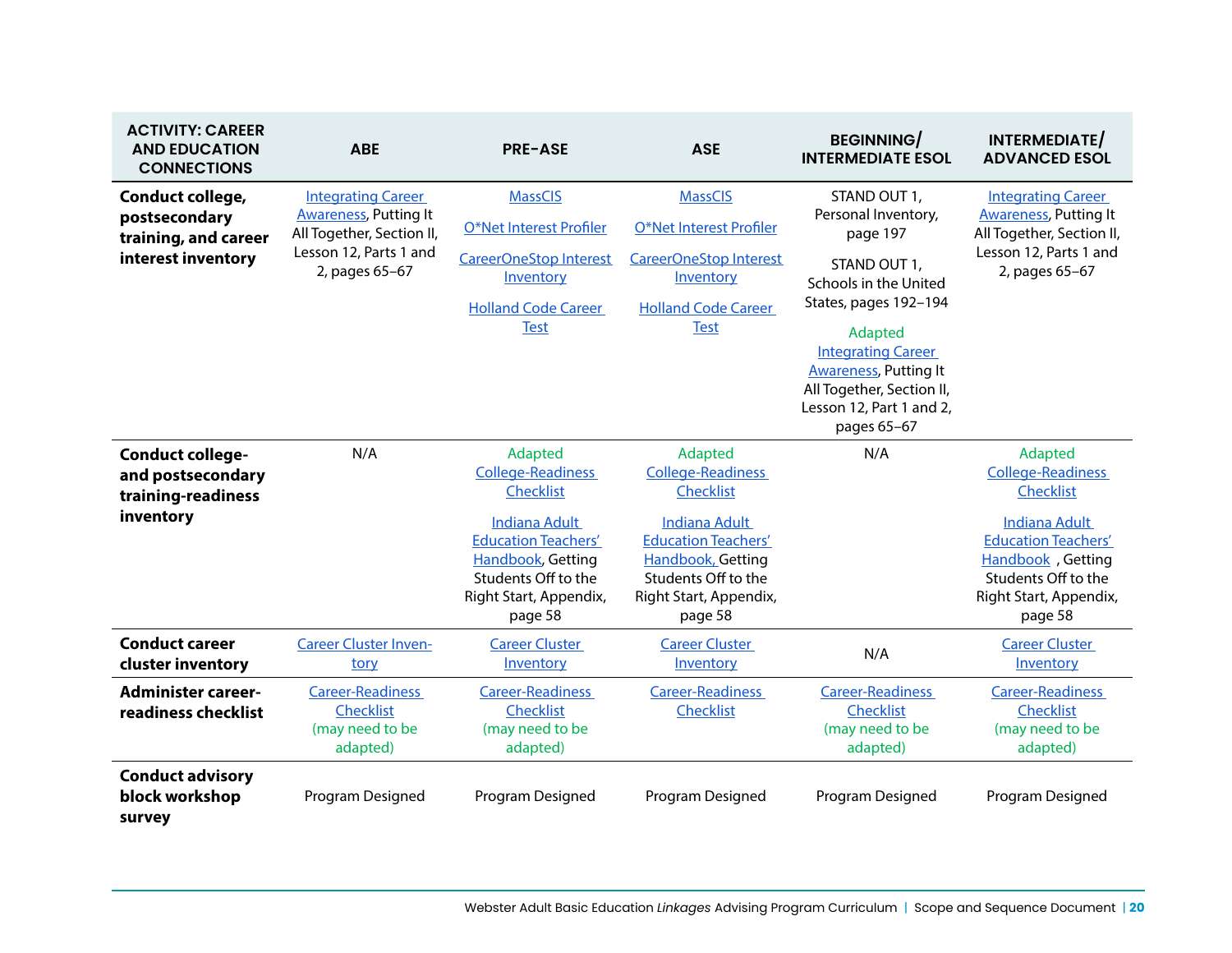| <b>ACTIVITY: CAREER</b><br><b>AND EDUCATION</b><br><b>CONNECTIONS</b>           | <b>ABE</b>                                                                                                                         | <b>PRE-ASE</b>                                                                                                                       | <b>ASE</b>                                                                                                                          | <b>BEGINNING/</b><br><b>INTERMEDIATE ESOL</b>                                                                                     | INTERMEDIATE/<br><b>ADVANCED ESOL</b>                                                                                               |
|---------------------------------------------------------------------------------|------------------------------------------------------------------------------------------------------------------------------------|--------------------------------------------------------------------------------------------------------------------------------------|-------------------------------------------------------------------------------------------------------------------------------------|-----------------------------------------------------------------------------------------------------------------------------------|-------------------------------------------------------------------------------------------------------------------------------------|
| Conduct college,<br>postsecondary<br>training, and career<br>interest inventory | <b>Integrating Career</b><br><b>Awareness, Putting It</b><br>All Together, Section II,<br>Lesson 12, Parts 1 and<br>2, pages 65-67 | <b>MassCIS</b><br>O*Net Interest Profiler<br><b>CareerOneStop Interest</b><br>Inventory<br><b>Holland Code Career</b><br><b>Test</b> | <b>MassCIS</b><br>O*Net Interest Profiler<br>CareerOneStop Interest<br>Inventory<br><b>Holland Code Career</b><br><b>Test</b>       | STAND OUT 1,<br>Personal Inventory,<br>page 197<br>STAND OUT 1,<br>Schools in the United<br>States, pages 192-194<br>Adapted      | <b>Integrating Career</b><br><b>Awareness, Putting It</b><br>All Together, Section II,<br>Lesson 12, Parts 1 and<br>2, pages 65-67  |
|                                                                                 |                                                                                                                                    |                                                                                                                                      |                                                                                                                                     | <b>Integrating Career</b><br><b>Awareness, Putting It</b><br>All Together, Section II,<br>Lesson 12, Part 1 and 2,<br>pages 65-67 |                                                                                                                                     |
| <b>Conduct college-</b><br>and postsecondary<br>training-readiness<br>inventory | N/A                                                                                                                                | Adapted<br><b>College-Readiness</b><br><b>Checklist</b>                                                                              | Adapted<br><b>College-Readiness</b><br><b>Checklist</b>                                                                             | N/A                                                                                                                               | Adapted<br><b>College-Readiness</b><br>Checklist                                                                                    |
|                                                                                 |                                                                                                                                    | <b>Indiana Adult</b><br><b>Education Teachers'</b><br>Handbook, Getting<br>Students Off to the<br>Right Start, Appendix,<br>page 58  | <b>Indiana Adult</b><br><b>Education Teachers'</b><br>Handbook, Getting<br>Students Off to the<br>Right Start, Appendix,<br>page 58 |                                                                                                                                   | <b>Indiana Adult</b><br><b>Education Teachers'</b><br>Handbook, Getting<br>Students Off to the<br>Right Start, Appendix,<br>page 58 |
| <b>Conduct career</b><br>cluster inventory                                      | <b>Career Cluster Inven-</b><br>tory                                                                                               | <b>Career Cluster</b><br>Inventory                                                                                                   | <b>Career Cluster</b><br>Inventory                                                                                                  | N/A                                                                                                                               | <b>Career Cluster</b><br>Inventory                                                                                                  |
| <b>Administer career-</b><br>readiness checklist                                | <b>Career-Readiness</b><br><b>Checklist</b><br>(may need to be<br>adapted)                                                         | <b>Career-Readiness</b><br><b>Checklist</b><br>(may need to be<br>adapted)                                                           | <b>Career-Readiness</b><br>Checklist                                                                                                | <b>Career-Readiness</b><br>Checklist<br>(may need to be<br>adapted)                                                               | <b>Career-Readiness</b><br>Checklist<br>(may need to be<br>adapted)                                                                 |
| <b>Conduct advisory</b><br>block workshop<br>survey                             | Program Designed                                                                                                                   | Program Designed                                                                                                                     | Program Designed                                                                                                                    | Program Designed                                                                                                                  | Program Designed                                                                                                                    |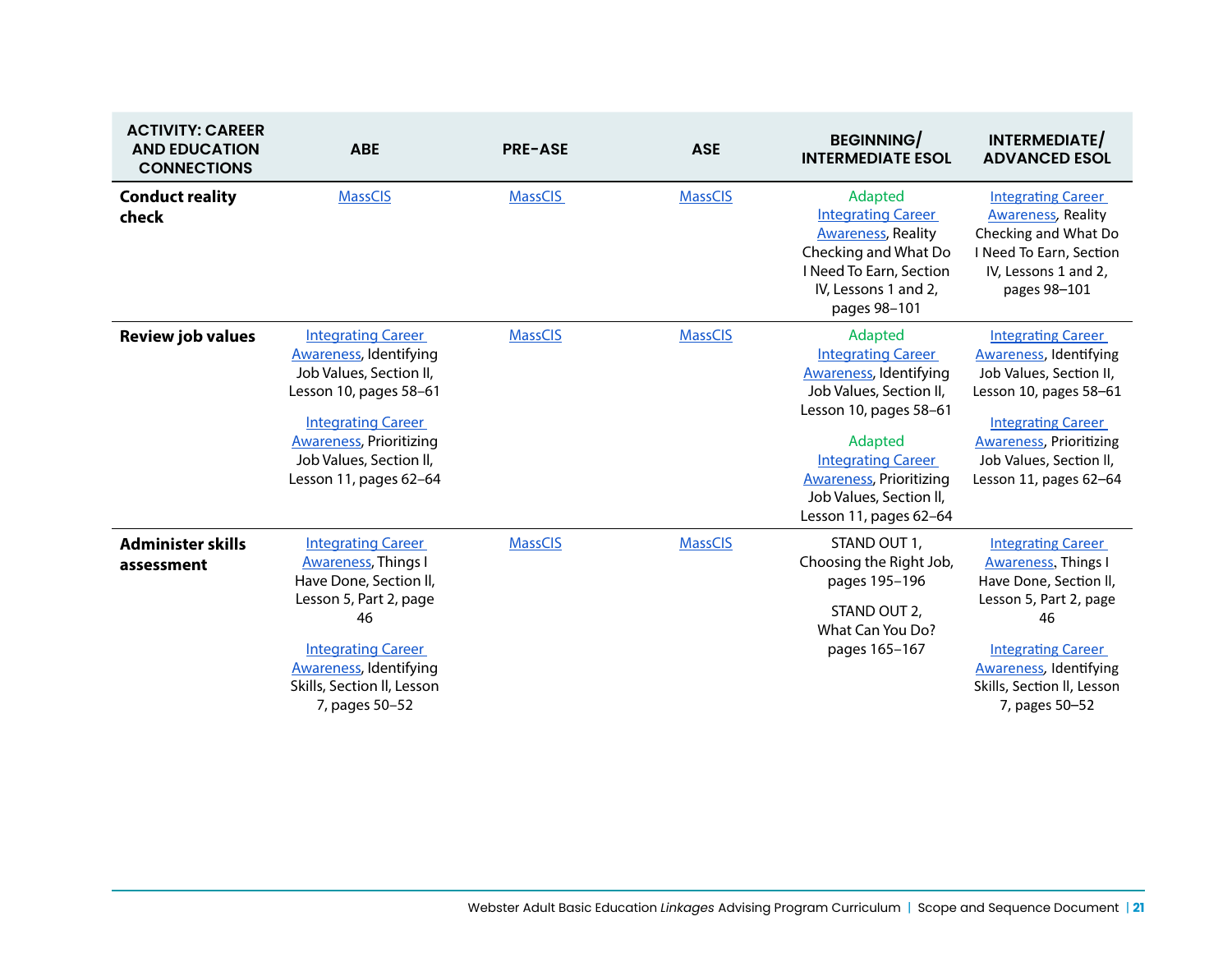| <b>ACTIVITY: CAREER</b><br><b>AND EDUCATION</b><br><b>CONNECTIONS</b> | <b>ABE</b>                                                                                                                                                                                                                          | <b>PRE-ASE</b> | <b>ASE</b>     | <b>BEGINNING/</b><br><b>INTERMEDIATE ESOL</b>                                                                                                                                                                                                              | INTERMEDIATE/<br><b>ADVANCED ESOL</b>                                                                                                                                                                                                 |
|-----------------------------------------------------------------------|-------------------------------------------------------------------------------------------------------------------------------------------------------------------------------------------------------------------------------------|----------------|----------------|------------------------------------------------------------------------------------------------------------------------------------------------------------------------------------------------------------------------------------------------------------|---------------------------------------------------------------------------------------------------------------------------------------------------------------------------------------------------------------------------------------|
| <b>Conduct reality</b><br>check                                       | <b>MassCIS</b>                                                                                                                                                                                                                      | <b>MassCIS</b> | <b>MassCIS</b> | Adapted<br><b>Integrating Career</b><br><b>Awareness, Reality</b><br>Checking and What Do<br>I Need To Earn, Section<br>IV, Lessons 1 and 2,<br>pages 98-101                                                                                               | <b>Integrating Career</b><br><b>Awareness</b> , Reality<br>Checking and What Do<br>I Need To Earn, Section<br>IV, Lessons 1 and 2,<br>pages 98-101                                                                                    |
| <b>Review job values</b>                                              | <b>Integrating Career</b><br><b>Awareness, Identifying</b><br>Job Values, Section II,<br>Lesson 10, pages 58-61<br><b>Integrating Career</b><br><b>Awareness, Prioritizing</b><br>Job Values, Section II,<br>Lesson 11, pages 62-64 | <b>MassCIS</b> | <b>MassCIS</b> | Adapted<br><b>Integrating Career</b><br><b>Awareness</b> , Identifying<br>Job Values, Section II,<br>Lesson 10, pages 58-61<br>Adapted<br><b>Integrating Career</b><br><b>Awareness, Prioritizing</b><br>Job Values, Section II,<br>Lesson 11, pages 62-64 | <b>Integrating Career</b><br><b>Awareness</b> , Identifying<br>Job Values, Section II,<br>Lesson 10, pages 58-61<br><b>Integrating Career</b><br><b>Awareness</b> , Prioritizing<br>Job Values, Section II,<br>Lesson 11, pages 62-64 |
| <b>Administer skills</b><br>assessment                                | <b>Integrating Career</b><br><b>Awareness</b> , Things I<br>Have Done, Section II,<br>Lesson 5, Part 2, page<br>46<br><b>Integrating Career</b><br><b>Awareness, Identifying</b><br>Skills, Section II, Lesson<br>7, pages 50-52    | <b>MassCIS</b> | <b>MassCIS</b> | STAND OUT 1,<br>Choosing the Right Job,<br>pages 195-196<br>STAND OUT 2,<br>What Can You Do?<br>pages 165-167                                                                                                                                              | <b>Integrating Career</b><br><b>Awareness, Things I</b><br>Have Done, Section II,<br>Lesson 5, Part 2, page<br>46<br><b>Integrating Career</b><br><b>Awareness</b> , Identifying<br>Skills, Section II, Lesson<br>7, pages 50-52      |